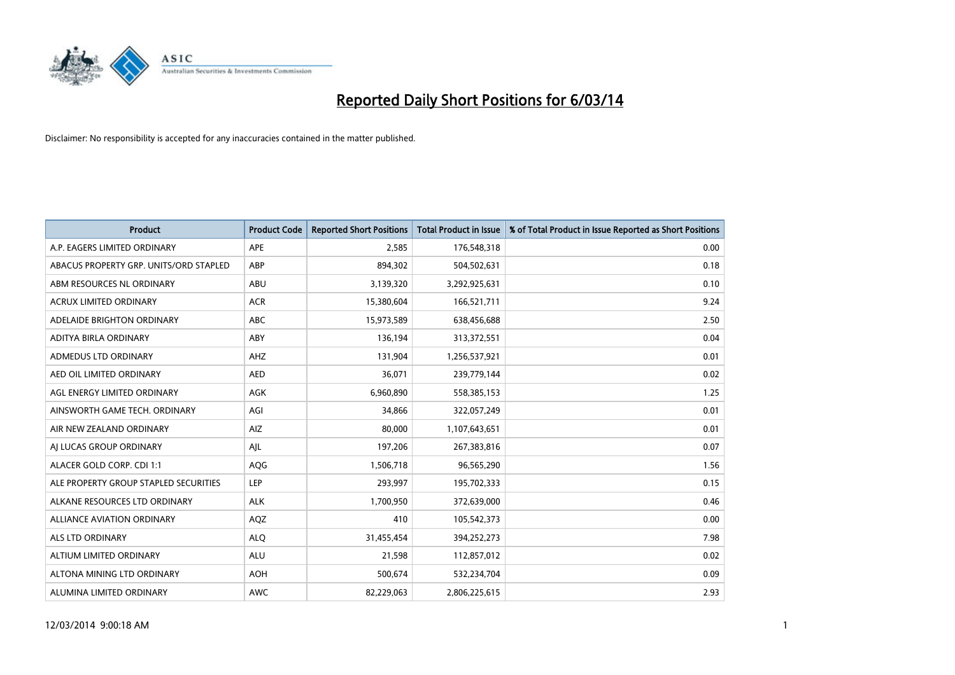

| <b>Product</b>                         | <b>Product Code</b> | <b>Reported Short Positions</b> | <b>Total Product in Issue</b> | % of Total Product in Issue Reported as Short Positions |
|----------------------------------------|---------------------|---------------------------------|-------------------------------|---------------------------------------------------------|
| A.P. EAGERS LIMITED ORDINARY           | <b>APE</b>          | 2,585                           | 176,548,318                   | 0.00                                                    |
| ABACUS PROPERTY GRP. UNITS/ORD STAPLED | ABP                 | 894,302                         | 504,502,631                   | 0.18                                                    |
| ABM RESOURCES NL ORDINARY              | ABU                 | 3,139,320                       | 3,292,925,631                 | 0.10                                                    |
| ACRUX LIMITED ORDINARY                 | <b>ACR</b>          | 15,380,604                      | 166,521,711                   | 9.24                                                    |
| ADELAIDE BRIGHTON ORDINARY             | <b>ABC</b>          | 15,973,589                      | 638,456,688                   | 2.50                                                    |
| ADITYA BIRLA ORDINARY                  | ABY                 | 136,194                         | 313,372,551                   | 0.04                                                    |
| <b>ADMEDUS LTD ORDINARY</b>            | AHZ                 | 131.904                         | 1,256,537,921                 | 0.01                                                    |
| AED OIL LIMITED ORDINARY               | <b>AED</b>          | 36,071                          | 239,779,144                   | 0.02                                                    |
| AGL ENERGY LIMITED ORDINARY            | <b>AGK</b>          | 6,960,890                       | 558,385,153                   | 1.25                                                    |
| AINSWORTH GAME TECH. ORDINARY          | AGI                 | 34,866                          | 322,057,249                   | 0.01                                                    |
| AIR NEW ZEALAND ORDINARY               | AIZ                 | 80,000                          | 1,107,643,651                 | 0.01                                                    |
| AI LUCAS GROUP ORDINARY                | AJL                 | 197,206                         | 267,383,816                   | 0.07                                                    |
| ALACER GOLD CORP. CDI 1:1              | AQG                 | 1,506,718                       | 96,565,290                    | 1.56                                                    |
| ALE PROPERTY GROUP STAPLED SECURITIES  | LEP                 | 293.997                         | 195,702,333                   | 0.15                                                    |
| ALKANE RESOURCES LTD ORDINARY          | <b>ALK</b>          | 1,700,950                       | 372,639,000                   | 0.46                                                    |
| <b>ALLIANCE AVIATION ORDINARY</b>      | AQZ                 | 410                             | 105,542,373                   | 0.00                                                    |
| <b>ALS LTD ORDINARY</b>                | <b>ALQ</b>          | 31,455,454                      | 394,252,273                   | 7.98                                                    |
| ALTIUM LIMITED ORDINARY                | <b>ALU</b>          | 21,598                          | 112,857,012                   | 0.02                                                    |
| ALTONA MINING LTD ORDINARY             | <b>AOH</b>          | 500,674                         | 532,234,704                   | 0.09                                                    |
| ALUMINA LIMITED ORDINARY               | <b>AWC</b>          | 82.229.063                      | 2,806,225,615                 | 2.93                                                    |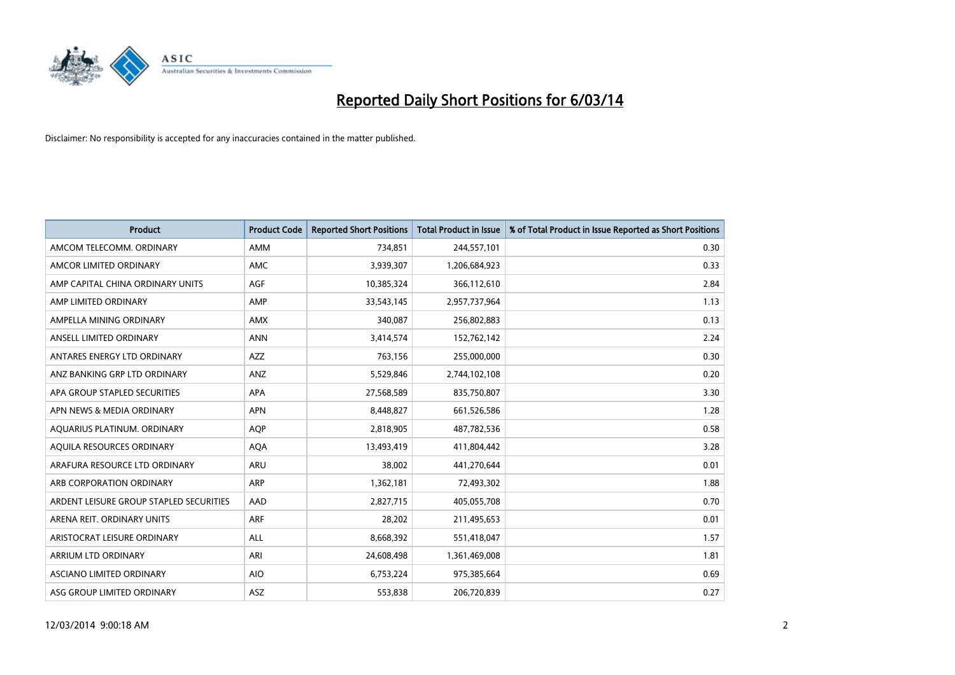

| <b>Product</b>                          | <b>Product Code</b> | <b>Reported Short Positions</b> | <b>Total Product in Issue</b> | % of Total Product in Issue Reported as Short Positions |
|-----------------------------------------|---------------------|---------------------------------|-------------------------------|---------------------------------------------------------|
| AMCOM TELECOMM, ORDINARY                | AMM                 | 734,851                         | 244,557,101                   | 0.30                                                    |
| AMCOR LIMITED ORDINARY                  | <b>AMC</b>          | 3,939,307                       | 1,206,684,923                 | 0.33                                                    |
| AMP CAPITAL CHINA ORDINARY UNITS        | <b>AGF</b>          | 10,385,324                      | 366,112,610                   | 2.84                                                    |
| AMP LIMITED ORDINARY                    | AMP                 | 33,543,145                      | 2,957,737,964                 | 1.13                                                    |
| AMPELLA MINING ORDINARY                 | <b>AMX</b>          | 340,087                         | 256,802,883                   | 0.13                                                    |
| ANSELL LIMITED ORDINARY                 | <b>ANN</b>          | 3,414,574                       | 152,762,142                   | 2.24                                                    |
| ANTARES ENERGY LTD ORDINARY             | <b>AZZ</b>          | 763,156                         | 255,000,000                   | 0.30                                                    |
| ANZ BANKING GRP LTD ORDINARY            | ANZ                 | 5,529,846                       | 2,744,102,108                 | 0.20                                                    |
| APA GROUP STAPLED SECURITIES            | <b>APA</b>          | 27,568,589                      | 835,750,807                   | 3.30                                                    |
| APN NEWS & MEDIA ORDINARY               | <b>APN</b>          | 8,448,827                       | 661,526,586                   | 1.28                                                    |
| AQUARIUS PLATINUM. ORDINARY             | <b>AOP</b>          | 2,818,905                       | 487,782,536                   | 0.58                                                    |
| AQUILA RESOURCES ORDINARY               | <b>AQA</b>          | 13,493,419                      | 411,804,442                   | 3.28                                                    |
| ARAFURA RESOURCE LTD ORDINARY           | ARU                 | 38,002                          | 441,270,644                   | 0.01                                                    |
| ARB CORPORATION ORDINARY                | ARP                 | 1,362,181                       | 72,493,302                    | 1.88                                                    |
| ARDENT LEISURE GROUP STAPLED SECURITIES | AAD                 | 2,827,715                       | 405,055,708                   | 0.70                                                    |
| ARENA REIT. ORDINARY UNITS              | <b>ARF</b>          | 28,202                          | 211,495,653                   | 0.01                                                    |
| ARISTOCRAT LEISURE ORDINARY             | <b>ALL</b>          | 8,668,392                       | 551,418,047                   | 1.57                                                    |
| <b>ARRIUM LTD ORDINARY</b>              | ARI                 | 24,608,498                      | 1,361,469,008                 | 1.81                                                    |
| <b>ASCIANO LIMITED ORDINARY</b>         | <b>AIO</b>          | 6,753,224                       | 975,385,664                   | 0.69                                                    |
| ASG GROUP LIMITED ORDINARY              | <b>ASZ</b>          | 553,838                         | 206,720,839                   | 0.27                                                    |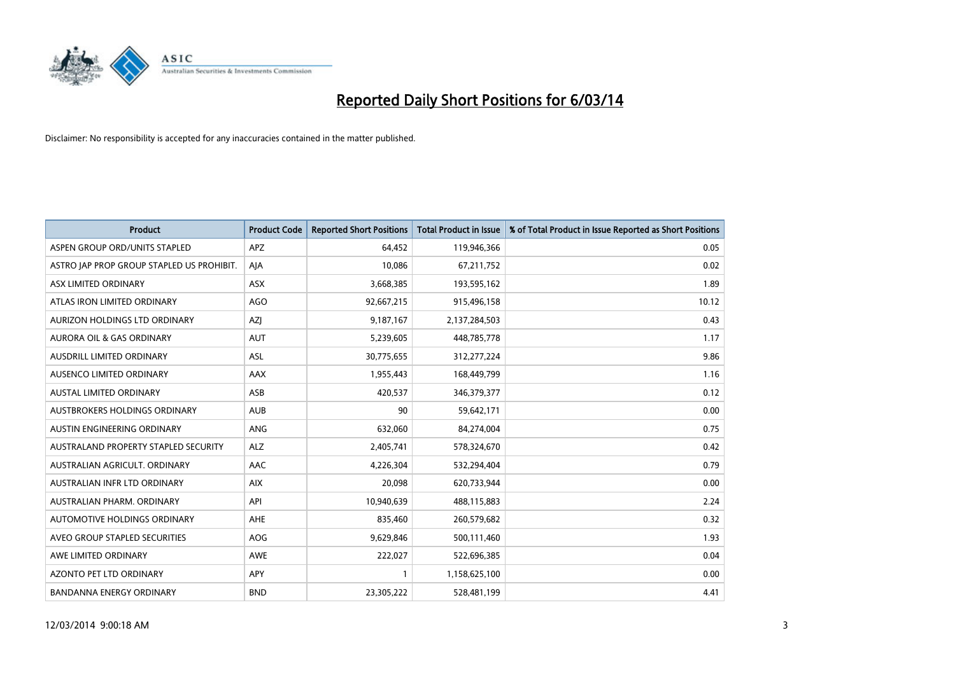

| <b>Product</b>                            | <b>Product Code</b> | <b>Reported Short Positions</b> | <b>Total Product in Issue</b> | % of Total Product in Issue Reported as Short Positions |
|-------------------------------------------|---------------------|---------------------------------|-------------------------------|---------------------------------------------------------|
| ASPEN GROUP ORD/UNITS STAPLED             | <b>APZ</b>          | 64.452                          | 119,946,366                   | 0.05                                                    |
| ASTRO JAP PROP GROUP STAPLED US PROHIBIT. | AJA                 | 10,086                          | 67,211,752                    | 0.02                                                    |
| ASX LIMITED ORDINARY                      | <b>ASX</b>          | 3,668,385                       | 193,595,162                   | 1.89                                                    |
| ATLAS IRON LIMITED ORDINARY               | AGO                 | 92,667,215                      | 915,496,158                   | 10.12                                                   |
| AURIZON HOLDINGS LTD ORDINARY             | AZI                 | 9,187,167                       | 2,137,284,503                 | 0.43                                                    |
| AURORA OIL & GAS ORDINARY                 | <b>AUT</b>          | 5,239,605                       | 448,785,778                   | 1.17                                                    |
| AUSDRILL LIMITED ORDINARY                 | <b>ASL</b>          | 30,775,655                      | 312,277,224                   | 9.86                                                    |
| AUSENCO LIMITED ORDINARY                  | AAX                 | 1,955,443                       | 168,449,799                   | 1.16                                                    |
| <b>AUSTAL LIMITED ORDINARY</b>            | ASB                 | 420,537                         | 346,379,377                   | 0.12                                                    |
| AUSTBROKERS HOLDINGS ORDINARY             | <b>AUB</b>          | 90                              | 59,642,171                    | 0.00                                                    |
| AUSTIN ENGINEERING ORDINARY               | ANG                 | 632,060                         | 84,274,004                    | 0.75                                                    |
| AUSTRALAND PROPERTY STAPLED SECURITY      | <b>ALZ</b>          | 2,405,741                       | 578,324,670                   | 0.42                                                    |
| AUSTRALIAN AGRICULT, ORDINARY             | <b>AAC</b>          | 4,226,304                       | 532,294,404                   | 0.79                                                    |
| AUSTRALIAN INFR LTD ORDINARY              | <b>AIX</b>          | 20,098                          | 620,733,944                   | 0.00                                                    |
| AUSTRALIAN PHARM, ORDINARY                | API                 | 10,940,639                      | 488,115,883                   | 2.24                                                    |
| AUTOMOTIVE HOLDINGS ORDINARY              | <b>AHE</b>          | 835,460                         | 260,579,682                   | 0.32                                                    |
| AVEO GROUP STAPLED SECURITIES             | <b>AOG</b>          | 9,629,846                       | 500,111,460                   | 1.93                                                    |
| AWE LIMITED ORDINARY                      | <b>AWE</b>          | 222,027                         | 522,696,385                   | 0.04                                                    |
| <b>AZONTO PET LTD ORDINARY</b>            | <b>APY</b>          |                                 | 1,158,625,100                 | 0.00                                                    |
| <b>BANDANNA ENERGY ORDINARY</b>           | <b>BND</b>          | 23,305,222                      | 528,481,199                   | 4.41                                                    |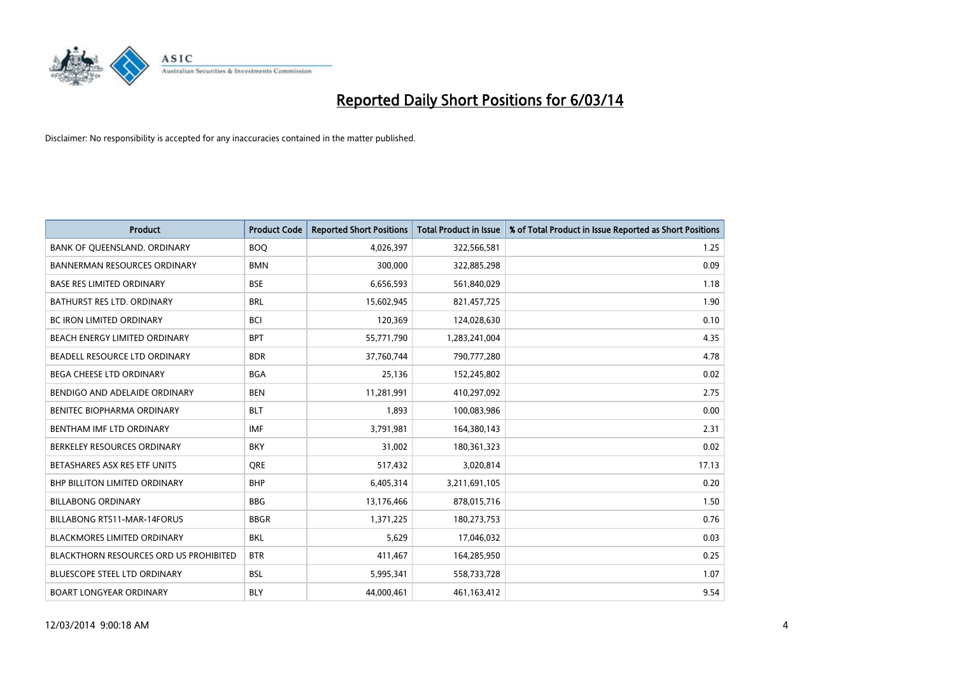

| <b>Product</b>                         | <b>Product Code</b> | <b>Reported Short Positions</b> | <b>Total Product in Issue</b> | % of Total Product in Issue Reported as Short Positions |
|----------------------------------------|---------------------|---------------------------------|-------------------------------|---------------------------------------------------------|
| BANK OF QUEENSLAND. ORDINARY           | <b>BOQ</b>          | 4,026,397                       | 322,566,581                   | 1.25                                                    |
| <b>BANNERMAN RESOURCES ORDINARY</b>    | <b>BMN</b>          | 300,000                         | 322,885,298                   | 0.09                                                    |
| <b>BASE RES LIMITED ORDINARY</b>       | <b>BSE</b>          | 6,656,593                       | 561,840,029                   | 1.18                                                    |
| BATHURST RES LTD. ORDINARY             | <b>BRL</b>          | 15,602,945                      | 821,457,725                   | 1.90                                                    |
| <b>BC IRON LIMITED ORDINARY</b>        | <b>BCI</b>          | 120,369                         | 124,028,630                   | 0.10                                                    |
| BEACH ENERGY LIMITED ORDINARY          | <b>BPT</b>          | 55,771,790                      | 1,283,241,004                 | 4.35                                                    |
| BEADELL RESOURCE LTD ORDINARY          | <b>BDR</b>          | 37,760,744                      | 790,777,280                   | 4.78                                                    |
| <b>BEGA CHEESE LTD ORDINARY</b>        | <b>BGA</b>          | 25,136                          | 152,245,802                   | 0.02                                                    |
| BENDIGO AND ADELAIDE ORDINARY          | <b>BEN</b>          | 11,281,991                      | 410,297,092                   | 2.75                                                    |
| <b>BENITEC BIOPHARMA ORDINARY</b>      | <b>BLT</b>          | 1.893                           | 100,083,986                   | 0.00                                                    |
| BENTHAM IMF LTD ORDINARY               | <b>IMF</b>          | 3,791,981                       | 164,380,143                   | 2.31                                                    |
| BERKELEY RESOURCES ORDINARY            | <b>BKY</b>          | 31,002                          | 180,361,323                   | 0.02                                                    |
| BETASHARES ASX RES ETF UNITS           | <b>ORE</b>          | 517,432                         | 3,020,814                     | 17.13                                                   |
| <b>BHP BILLITON LIMITED ORDINARY</b>   | <b>BHP</b>          | 6,405,314                       | 3,211,691,105                 | 0.20                                                    |
| <b>BILLABONG ORDINARY</b>              | <b>BBG</b>          | 13,176,466                      | 878,015,716                   | 1.50                                                    |
| BILLABONG RTS11-MAR-14FORUS            | <b>BBGR</b>         | 1,371,225                       | 180,273,753                   | 0.76                                                    |
| <b>BLACKMORES LIMITED ORDINARY</b>     | <b>BKL</b>          | 5,629                           | 17,046,032                    | 0.03                                                    |
| BLACKTHORN RESOURCES ORD US PROHIBITED | <b>BTR</b>          | 411,467                         | 164,285,950                   | 0.25                                                    |
| <b>BLUESCOPE STEEL LTD ORDINARY</b>    | <b>BSL</b>          | 5,995,341                       | 558,733,728                   | 1.07                                                    |
| <b>BOART LONGYEAR ORDINARY</b>         | <b>BLY</b>          | 44,000,461                      | 461,163,412                   | 9.54                                                    |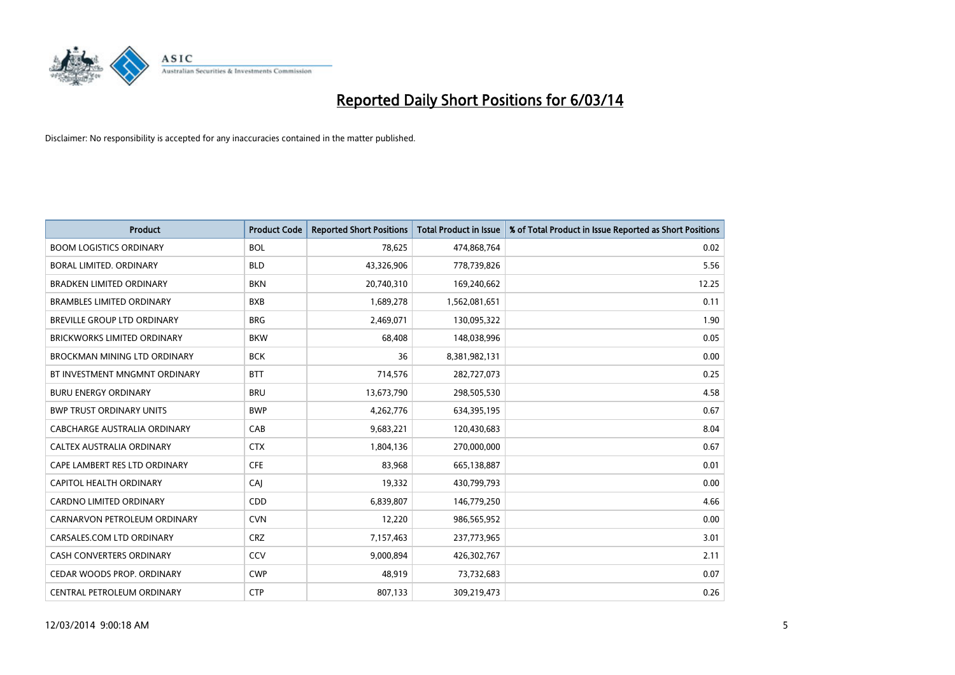

| <b>Product</b>                      | <b>Product Code</b> | <b>Reported Short Positions</b> | <b>Total Product in Issue</b> | % of Total Product in Issue Reported as Short Positions |
|-------------------------------------|---------------------|---------------------------------|-------------------------------|---------------------------------------------------------|
| <b>BOOM LOGISTICS ORDINARY</b>      | <b>BOL</b>          | 78,625                          | 474,868,764                   | 0.02                                                    |
| BORAL LIMITED. ORDINARY             | <b>BLD</b>          | 43,326,906                      | 778,739,826                   | 5.56                                                    |
| <b>BRADKEN LIMITED ORDINARY</b>     | <b>BKN</b>          | 20,740,310                      | 169,240,662                   | 12.25                                                   |
| <b>BRAMBLES LIMITED ORDINARY</b>    | <b>BXB</b>          | 1,689,278                       | 1,562,081,651                 | 0.11                                                    |
| <b>BREVILLE GROUP LTD ORDINARY</b>  | <b>BRG</b>          | 2,469,071                       | 130,095,322                   | 1.90                                                    |
| <b>BRICKWORKS LIMITED ORDINARY</b>  | <b>BKW</b>          | 68,408                          | 148,038,996                   | 0.05                                                    |
| <b>BROCKMAN MINING LTD ORDINARY</b> | <b>BCK</b>          | 36                              | 8,381,982,131                 | 0.00                                                    |
| BT INVESTMENT MNGMNT ORDINARY       | <b>BTT</b>          | 714,576                         | 282,727,073                   | 0.25                                                    |
| <b>BURU ENERGY ORDINARY</b>         | <b>BRU</b>          | 13,673,790                      | 298,505,530                   | 4.58                                                    |
| <b>BWP TRUST ORDINARY UNITS</b>     | <b>BWP</b>          | 4,262,776                       | 634,395,195                   | 0.67                                                    |
| CABCHARGE AUSTRALIA ORDINARY        | CAB                 | 9,683,221                       | 120,430,683                   | 8.04                                                    |
| <b>CALTEX AUSTRALIA ORDINARY</b>    | <b>CTX</b>          | 1,804,136                       | 270,000,000                   | 0.67                                                    |
| CAPE LAMBERT RES LTD ORDINARY       | <b>CFE</b>          | 83,968                          | 665,138,887                   | 0.01                                                    |
| CAPITOL HEALTH ORDINARY             | CAI                 | 19,332                          | 430,799,793                   | 0.00                                                    |
| <b>CARDNO LIMITED ORDINARY</b>      | <b>CDD</b>          | 6,839,807                       | 146,779,250                   | 4.66                                                    |
| CARNARVON PETROLEUM ORDINARY        | <b>CVN</b>          | 12,220                          | 986,565,952                   | 0.00                                                    |
| CARSALES.COM LTD ORDINARY           | <b>CRZ</b>          | 7,157,463                       | 237,773,965                   | 3.01                                                    |
| CASH CONVERTERS ORDINARY            | CCV                 | 9,000,894                       | 426,302,767                   | 2.11                                                    |
| CEDAR WOODS PROP. ORDINARY          | <b>CWP</b>          | 48,919                          | 73,732,683                    | 0.07                                                    |
| CENTRAL PETROLEUM ORDINARY          | <b>CTP</b>          | 807,133                         | 309,219,473                   | 0.26                                                    |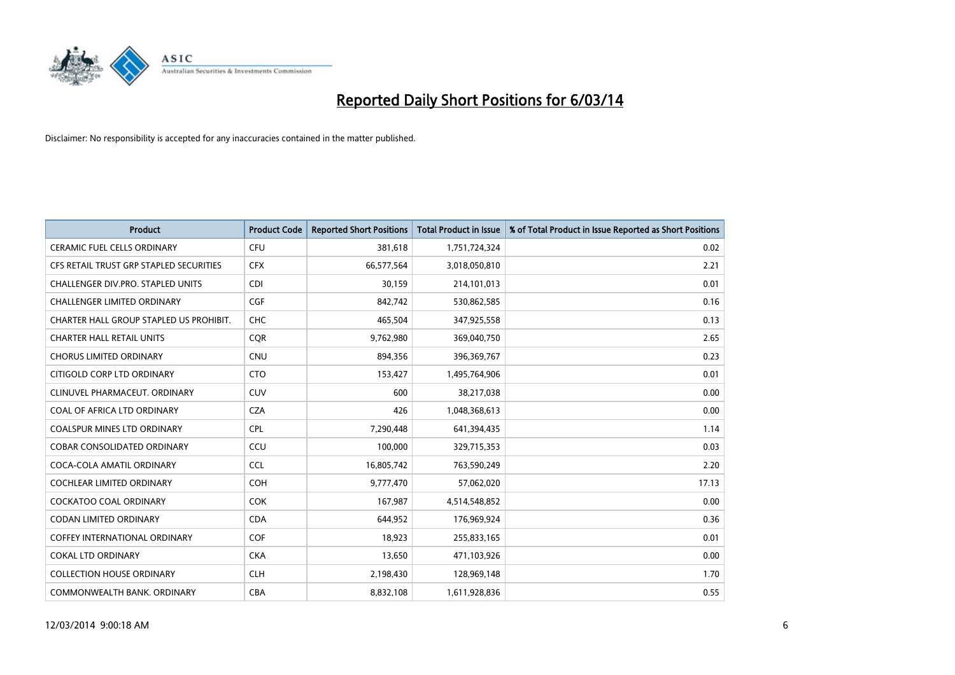

| <b>Product</b>                          | <b>Product Code</b> | <b>Reported Short Positions</b> | <b>Total Product in Issue</b> | % of Total Product in Issue Reported as Short Positions |
|-----------------------------------------|---------------------|---------------------------------|-------------------------------|---------------------------------------------------------|
| <b>CERAMIC FUEL CELLS ORDINARY</b>      | <b>CFU</b>          | 381,618                         | 1,751,724,324                 | 0.02                                                    |
| CFS RETAIL TRUST GRP STAPLED SECURITIES | <b>CFX</b>          | 66,577,564                      | 3,018,050,810                 | 2.21                                                    |
| CHALLENGER DIV.PRO. STAPLED UNITS       | <b>CDI</b>          | 30,159                          | 214,101,013                   | 0.01                                                    |
| CHALLENGER LIMITED ORDINARY             | <b>CGF</b>          | 842,742                         | 530,862,585                   | 0.16                                                    |
| CHARTER HALL GROUP STAPLED US PROHIBIT. | <b>CHC</b>          | 465,504                         | 347,925,558                   | 0.13                                                    |
| <b>CHARTER HALL RETAIL UNITS</b>        | <b>CQR</b>          | 9,762,980                       | 369,040,750                   | 2.65                                                    |
| <b>CHORUS LIMITED ORDINARY</b>          | <b>CNU</b>          | 894,356                         | 396,369,767                   | 0.23                                                    |
| CITIGOLD CORP LTD ORDINARY              | <b>CTO</b>          | 153,427                         | 1,495,764,906                 | 0.01                                                    |
| CLINUVEL PHARMACEUT. ORDINARY           | <b>CUV</b>          | 600                             | 38,217,038                    | 0.00                                                    |
| COAL OF AFRICA LTD ORDINARY             | <b>CZA</b>          | 426                             | 1,048,368,613                 | 0.00                                                    |
| <b>COALSPUR MINES LTD ORDINARY</b>      | <b>CPL</b>          | 7,290,448                       | 641,394,435                   | 1.14                                                    |
| <b>COBAR CONSOLIDATED ORDINARY</b>      | CCU                 | 100,000                         | 329,715,353                   | 0.03                                                    |
| COCA-COLA AMATIL ORDINARY               | <b>CCL</b>          | 16,805,742                      | 763,590,249                   | 2.20                                                    |
| <b>COCHLEAR LIMITED ORDINARY</b>        | <b>COH</b>          | 9,777,470                       | 57,062,020                    | 17.13                                                   |
| <b>COCKATOO COAL ORDINARY</b>           | <b>COK</b>          | 167,987                         | 4,514,548,852                 | 0.00                                                    |
| <b>CODAN LIMITED ORDINARY</b>           | <b>CDA</b>          | 644,952                         | 176,969,924                   | 0.36                                                    |
| <b>COFFEY INTERNATIONAL ORDINARY</b>    | <b>COF</b>          | 18,923                          | 255,833,165                   | 0.01                                                    |
| <b>COKAL LTD ORDINARY</b>               | <b>CKA</b>          | 13,650                          | 471,103,926                   | 0.00                                                    |
| <b>COLLECTION HOUSE ORDINARY</b>        | <b>CLH</b>          | 2,198,430                       | 128,969,148                   | 1.70                                                    |
| COMMONWEALTH BANK, ORDINARY             | <b>CBA</b>          | 8,832,108                       | 1,611,928,836                 | 0.55                                                    |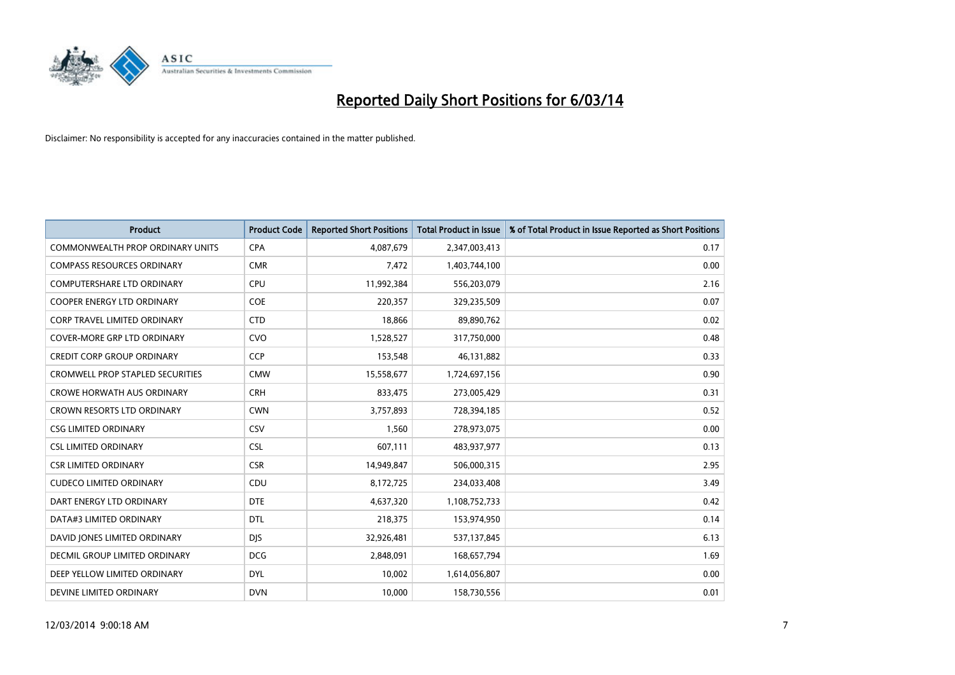

| <b>Product</b>                          | <b>Product Code</b> | <b>Reported Short Positions</b> | <b>Total Product in Issue</b> | % of Total Product in Issue Reported as Short Positions |
|-----------------------------------------|---------------------|---------------------------------|-------------------------------|---------------------------------------------------------|
| <b>COMMONWEALTH PROP ORDINARY UNITS</b> | <b>CPA</b>          | 4,087,679                       | 2,347,003,413                 | 0.17                                                    |
| <b>COMPASS RESOURCES ORDINARY</b>       | <b>CMR</b>          | 7,472                           | 1,403,744,100                 | 0.00                                                    |
| <b>COMPUTERSHARE LTD ORDINARY</b>       | <b>CPU</b>          | 11,992,384                      | 556,203,079                   | 2.16                                                    |
| COOPER ENERGY LTD ORDINARY              | <b>COE</b>          | 220,357                         | 329,235,509                   | 0.07                                                    |
| <b>CORP TRAVEL LIMITED ORDINARY</b>     | <b>CTD</b>          | 18,866                          | 89,890,762                    | 0.02                                                    |
| <b>COVER-MORE GRP LTD ORDINARY</b>      | <b>CVO</b>          | 1,528,527                       | 317,750,000                   | 0.48                                                    |
| <b>CREDIT CORP GROUP ORDINARY</b>       | <b>CCP</b>          | 153,548                         | 46,131,882                    | 0.33                                                    |
| <b>CROMWELL PROP STAPLED SECURITIES</b> | <b>CMW</b>          | 15,558,677                      | 1,724,697,156                 | 0.90                                                    |
| <b>CROWE HORWATH AUS ORDINARY</b>       | <b>CRH</b>          | 833,475                         | 273,005,429                   | 0.31                                                    |
| <b>CROWN RESORTS LTD ORDINARY</b>       | <b>CWN</b>          | 3,757,893                       | 728,394,185                   | 0.52                                                    |
| <b>CSG LIMITED ORDINARY</b>             | CSV                 | 1,560                           | 278,973,075                   | 0.00                                                    |
| <b>CSL LIMITED ORDINARY</b>             | <b>CSL</b>          | 607,111                         | 483,937,977                   | 0.13                                                    |
| <b>CSR LIMITED ORDINARY</b>             | <b>CSR</b>          | 14,949,847                      | 506,000,315                   | 2.95                                                    |
| <b>CUDECO LIMITED ORDINARY</b>          | CDU                 | 8,172,725                       | 234,033,408                   | 3.49                                                    |
| DART ENERGY LTD ORDINARY                | <b>DTE</b>          | 4,637,320                       | 1,108,752,733                 | 0.42                                                    |
| DATA#3 LIMITED ORDINARY                 | <b>DTL</b>          | 218,375                         | 153,974,950                   | 0.14                                                    |
| DAVID JONES LIMITED ORDINARY            | <b>DJS</b>          | 32,926,481                      | 537,137,845                   | 6.13                                                    |
| <b>DECMIL GROUP LIMITED ORDINARY</b>    | <b>DCG</b>          | 2,848,091                       | 168,657,794                   | 1.69                                                    |
| DEEP YELLOW LIMITED ORDINARY            | <b>DYL</b>          | 10,002                          | 1,614,056,807                 | 0.00                                                    |
| DEVINE LIMITED ORDINARY                 | <b>DVN</b>          | 10.000                          | 158,730,556                   | 0.01                                                    |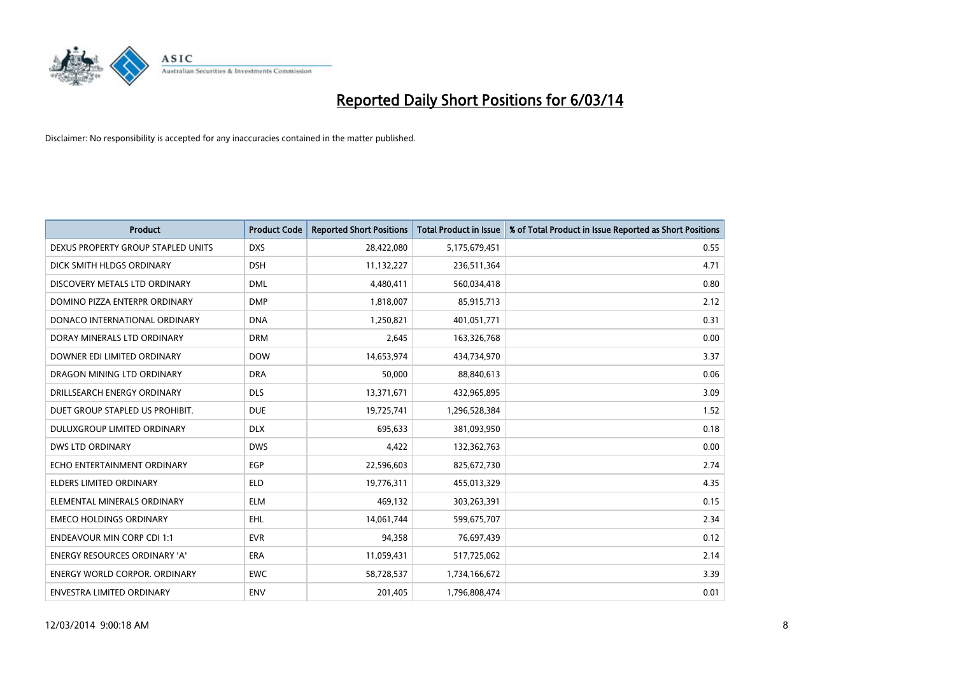

| <b>Product</b>                       | <b>Product Code</b> | <b>Reported Short Positions</b> | <b>Total Product in Issue</b> | % of Total Product in Issue Reported as Short Positions |
|--------------------------------------|---------------------|---------------------------------|-------------------------------|---------------------------------------------------------|
| DEXUS PROPERTY GROUP STAPLED UNITS   | <b>DXS</b>          | 28,422,080                      | 5,175,679,451                 | 0.55                                                    |
| DICK SMITH HLDGS ORDINARY            | <b>DSH</b>          | 11,132,227                      | 236,511,364                   | 4.71                                                    |
| DISCOVERY METALS LTD ORDINARY        | <b>DML</b>          | 4,480,411                       | 560,034,418                   | 0.80                                                    |
| DOMINO PIZZA ENTERPR ORDINARY        | <b>DMP</b>          | 1,818,007                       | 85,915,713                    | 2.12                                                    |
| DONACO INTERNATIONAL ORDINARY        | <b>DNA</b>          | 1,250,821                       | 401,051,771                   | 0.31                                                    |
| DORAY MINERALS LTD ORDINARY          | <b>DRM</b>          | 2,645                           | 163,326,768                   | 0.00                                                    |
| DOWNER EDI LIMITED ORDINARY          | <b>DOW</b>          | 14,653,974                      | 434,734,970                   | 3.37                                                    |
| DRAGON MINING LTD ORDINARY           | <b>DRA</b>          | 50,000                          | 88,840,613                    | 0.06                                                    |
| DRILLSEARCH ENERGY ORDINARY          | <b>DLS</b>          | 13,371,671                      | 432,965,895                   | 3.09                                                    |
| DUET GROUP STAPLED US PROHIBIT.      | <b>DUE</b>          | 19,725,741                      | 1,296,528,384                 | 1.52                                                    |
| DULUXGROUP LIMITED ORDINARY          | <b>DLX</b>          | 695,633                         | 381,093,950                   | 0.18                                                    |
| <b>DWS LTD ORDINARY</b>              | <b>DWS</b>          | 4,422                           | 132,362,763                   | 0.00                                                    |
| ECHO ENTERTAINMENT ORDINARY          | EGP                 | 22,596,603                      | 825,672,730                   | 2.74                                                    |
| <b>ELDERS LIMITED ORDINARY</b>       | <b>ELD</b>          | 19,776,311                      | 455,013,329                   | 4.35                                                    |
| ELEMENTAL MINERALS ORDINARY          | <b>ELM</b>          | 469,132                         | 303,263,391                   | 0.15                                                    |
| <b>EMECO HOLDINGS ORDINARY</b>       | <b>EHL</b>          | 14,061,744                      | 599,675,707                   | 2.34                                                    |
| <b>ENDEAVOUR MIN CORP CDI 1:1</b>    | <b>EVR</b>          | 94,358                          | 76,697,439                    | 0.12                                                    |
| ENERGY RESOURCES ORDINARY 'A'        | <b>ERA</b>          | 11,059,431                      | 517,725,062                   | 2.14                                                    |
| <b>ENERGY WORLD CORPOR, ORDINARY</b> | <b>EWC</b>          | 58,728,537                      | 1,734,166,672                 | 3.39                                                    |
| <b>ENVESTRA LIMITED ORDINARY</b>     | <b>ENV</b>          | 201.405                         | 1.796.808.474                 | 0.01                                                    |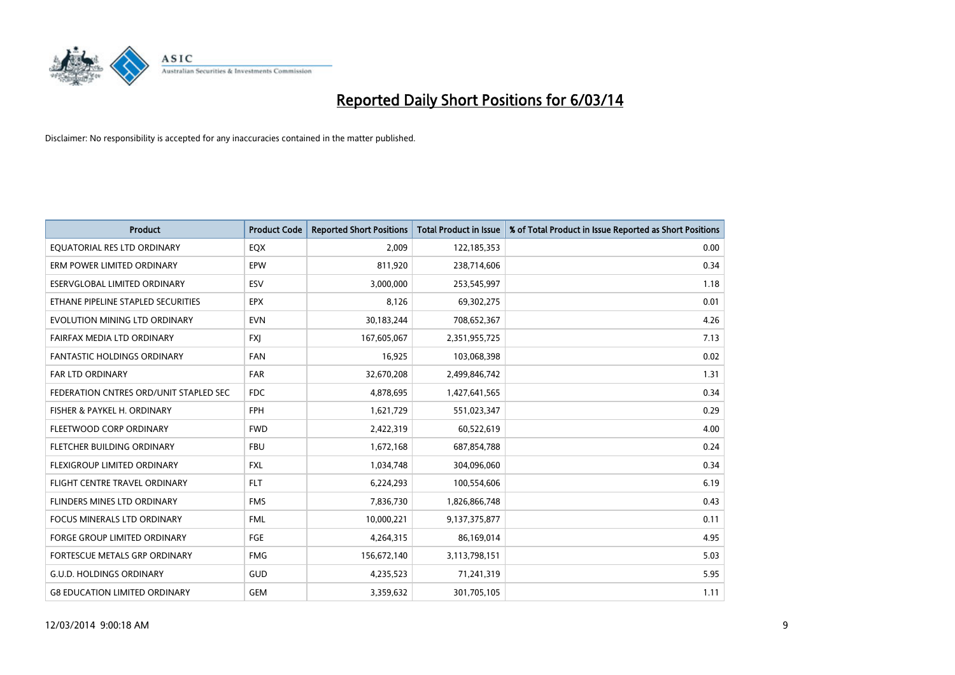

| <b>Product</b>                         | <b>Product Code</b> | <b>Reported Short Positions</b> | <b>Total Product in Issue</b> | % of Total Product in Issue Reported as Short Positions |
|----------------------------------------|---------------------|---------------------------------|-------------------------------|---------------------------------------------------------|
| EQUATORIAL RES LTD ORDINARY            | EQX                 | 2,009                           | 122,185,353                   | 0.00                                                    |
| ERM POWER LIMITED ORDINARY             | EPW                 | 811,920                         | 238,714,606                   | 0.34                                                    |
| ESERVGLOBAL LIMITED ORDINARY           | ESV                 | 3,000,000                       | 253,545,997                   | 1.18                                                    |
| ETHANE PIPELINE STAPLED SECURITIES     | <b>EPX</b>          | 8,126                           | 69,302,275                    | 0.01                                                    |
| EVOLUTION MINING LTD ORDINARY          | <b>EVN</b>          | 30,183,244                      | 708,652,367                   | 4.26                                                    |
| FAIRFAX MEDIA LTD ORDINARY             | <b>FXJ</b>          | 167,605,067                     | 2,351,955,725                 | 7.13                                                    |
| <b>FANTASTIC HOLDINGS ORDINARY</b>     | <b>FAN</b>          | 16,925                          | 103,068,398                   | 0.02                                                    |
| FAR LTD ORDINARY                       | <b>FAR</b>          | 32,670,208                      | 2,499,846,742                 | 1.31                                                    |
| FEDERATION CNTRES ORD/UNIT STAPLED SEC | <b>FDC</b>          | 4,878,695                       | 1,427,641,565                 | 0.34                                                    |
| FISHER & PAYKEL H. ORDINARY            | <b>FPH</b>          | 1,621,729                       | 551,023,347                   | 0.29                                                    |
| FLEETWOOD CORP ORDINARY                | <b>FWD</b>          | 2,422,319                       | 60,522,619                    | 4.00                                                    |
| FLETCHER BUILDING ORDINARY             | <b>FBU</b>          | 1,672,168                       | 687,854,788                   | 0.24                                                    |
| <b>FLEXIGROUP LIMITED ORDINARY</b>     | <b>FXL</b>          | 1,034,748                       | 304,096,060                   | 0.34                                                    |
| FLIGHT CENTRE TRAVEL ORDINARY          | <b>FLT</b>          | 6,224,293                       | 100,554,606                   | 6.19                                                    |
| <b>FLINDERS MINES LTD ORDINARY</b>     | <b>FMS</b>          | 7,836,730                       | 1,826,866,748                 | 0.43                                                    |
| <b>FOCUS MINERALS LTD ORDINARY</b>     | <b>FML</b>          | 10,000,221                      | 9,137,375,877                 | 0.11                                                    |
| <b>FORGE GROUP LIMITED ORDINARY</b>    | FGE                 | 4,264,315                       | 86,169,014                    | 4.95                                                    |
| FORTESCUE METALS GRP ORDINARY          | <b>FMG</b>          | 156,672,140                     | 3,113,798,151                 | 5.03                                                    |
| <b>G.U.D. HOLDINGS ORDINARY</b>        | GUD                 | 4,235,523                       | 71,241,319                    | 5.95                                                    |
| <b>G8 EDUCATION LIMITED ORDINARY</b>   | <b>GEM</b>          | 3,359,632                       | 301,705,105                   | 1.11                                                    |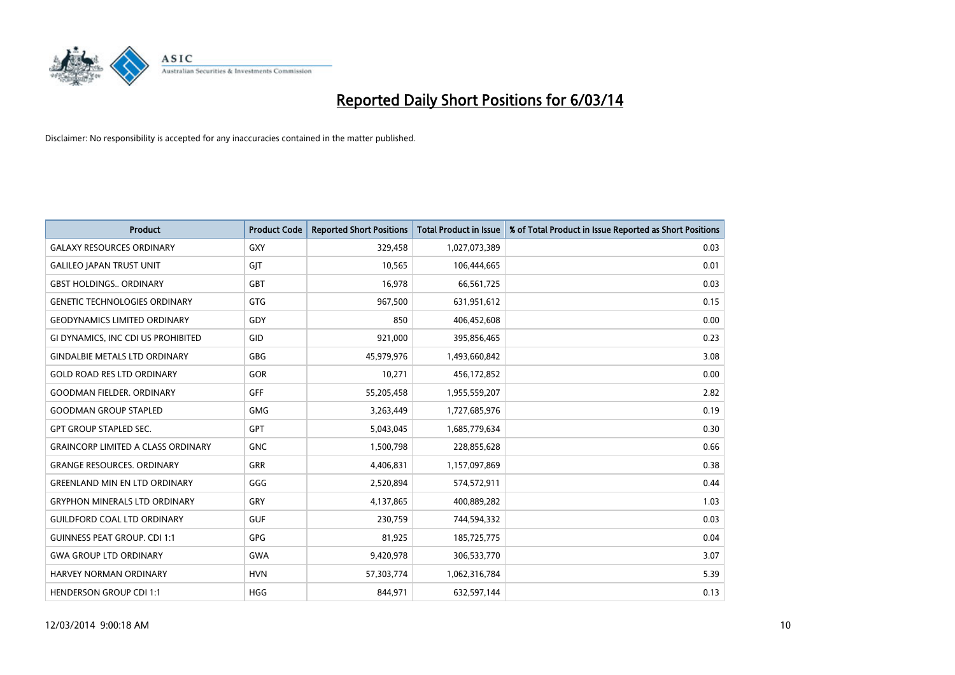

| <b>Product</b>                            | <b>Product Code</b> | <b>Reported Short Positions</b> | <b>Total Product in Issue</b> | % of Total Product in Issue Reported as Short Positions |
|-------------------------------------------|---------------------|---------------------------------|-------------------------------|---------------------------------------------------------|
| <b>GALAXY RESOURCES ORDINARY</b>          | <b>GXY</b>          | 329,458                         | 1,027,073,389                 | 0.03                                                    |
| <b>GALILEO JAPAN TRUST UNIT</b>           | GIT                 | 10,565                          | 106,444,665                   | 0.01                                                    |
| <b>GBST HOLDINGS ORDINARY</b>             | GBT                 | 16,978                          | 66,561,725                    | 0.03                                                    |
| <b>GENETIC TECHNOLOGIES ORDINARY</b>      | <b>GTG</b>          | 967,500                         | 631,951,612                   | 0.15                                                    |
| <b>GEODYNAMICS LIMITED ORDINARY</b>       | GDY                 | 850                             | 406,452,608                   | 0.00                                                    |
| GI DYNAMICS, INC CDI US PROHIBITED        | GID                 | 921,000                         | 395,856,465                   | 0.23                                                    |
| <b>GINDALBIE METALS LTD ORDINARY</b>      | <b>GBG</b>          | 45,979,976                      | 1,493,660,842                 | 3.08                                                    |
| <b>GOLD ROAD RES LTD ORDINARY</b>         | GOR                 | 10,271                          | 456,172,852                   | 0.00                                                    |
| <b>GOODMAN FIELDER, ORDINARY</b>          | <b>GFF</b>          | 55,205,458                      | 1,955,559,207                 | 2.82                                                    |
| <b>GOODMAN GROUP STAPLED</b>              | <b>GMG</b>          | 3,263,449                       | 1,727,685,976                 | 0.19                                                    |
| <b>GPT GROUP STAPLED SEC.</b>             | <b>GPT</b>          | 5,043,045                       | 1,685,779,634                 | 0.30                                                    |
| <b>GRAINCORP LIMITED A CLASS ORDINARY</b> | <b>GNC</b>          | 1,500,798                       | 228,855,628                   | 0.66                                                    |
| <b>GRANGE RESOURCES, ORDINARY</b>         | <b>GRR</b>          | 4,406,831                       | 1,157,097,869                 | 0.38                                                    |
| <b>GREENLAND MIN EN LTD ORDINARY</b>      | GGG                 | 2,520,894                       | 574,572,911                   | 0.44                                                    |
| <b>GRYPHON MINERALS LTD ORDINARY</b>      | GRY                 | 4,137,865                       | 400,889,282                   | 1.03                                                    |
| <b>GUILDFORD COAL LTD ORDINARY</b>        | <b>GUF</b>          | 230,759                         | 744,594,332                   | 0.03                                                    |
| <b>GUINNESS PEAT GROUP. CDI 1:1</b>       | GPG                 | 81,925                          | 185,725,775                   | 0.04                                                    |
| <b>GWA GROUP LTD ORDINARY</b>             | <b>GWA</b>          | 9,420,978                       | 306,533,770                   | 3.07                                                    |
| HARVEY NORMAN ORDINARY                    | <b>HVN</b>          | 57,303,774                      | 1,062,316,784                 | 5.39                                                    |
| <b>HENDERSON GROUP CDI 1:1</b>            | <b>HGG</b>          | 844.971                         | 632,597,144                   | 0.13                                                    |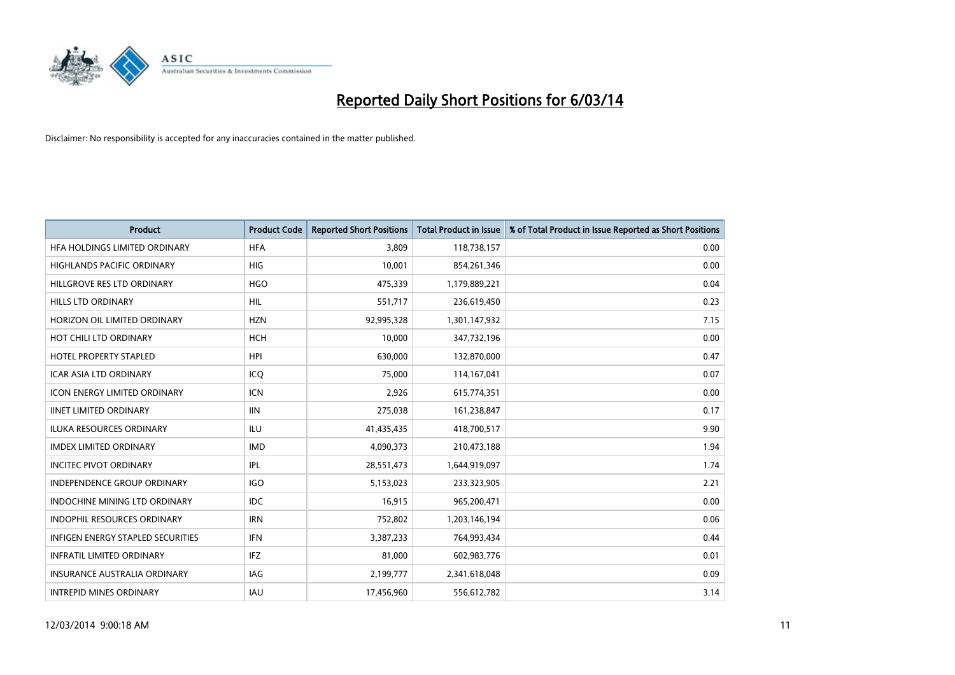

| <b>Product</b>                           | <b>Product Code</b> | <b>Reported Short Positions</b> | <b>Total Product in Issue</b> | % of Total Product in Issue Reported as Short Positions |
|------------------------------------------|---------------------|---------------------------------|-------------------------------|---------------------------------------------------------|
| HFA HOLDINGS LIMITED ORDINARY            | <b>HFA</b>          | 3,809                           | 118,738,157                   | 0.00                                                    |
| <b>HIGHLANDS PACIFIC ORDINARY</b>        | <b>HIG</b>          | 10,001                          | 854,261,346                   | 0.00                                                    |
| HILLGROVE RES LTD ORDINARY               | <b>HGO</b>          | 475,339                         | 1,179,889,221                 | 0.04                                                    |
| HILLS LTD ORDINARY                       | <b>HIL</b>          | 551,717                         | 236,619,450                   | 0.23                                                    |
| HORIZON OIL LIMITED ORDINARY             | <b>HZN</b>          | 92,995,328                      | 1,301,147,932                 | 7.15                                                    |
| HOT CHILI LTD ORDINARY                   | <b>HCH</b>          | 10,000                          | 347,732,196                   | 0.00                                                    |
| <b>HOTEL PROPERTY STAPLED</b>            | <b>HPI</b>          | 630.000                         | 132,870,000                   | 0.47                                                    |
| <b>ICAR ASIA LTD ORDINARY</b>            | ICO                 | 75,000                          | 114,167,041                   | 0.07                                                    |
| <b>ICON ENERGY LIMITED ORDINARY</b>      | <b>ICN</b>          | 2,926                           | 615,774,351                   | 0.00                                                    |
| <b>IINET LIMITED ORDINARY</b>            | <b>IIN</b>          | 275,038                         | 161,238,847                   | 0.17                                                    |
| <b>ILUKA RESOURCES ORDINARY</b>          | ILU                 | 41,435,435                      | 418,700,517                   | 9.90                                                    |
| <b>IMDEX LIMITED ORDINARY</b>            | <b>IMD</b>          | 4,090,373                       | 210,473,188                   | 1.94                                                    |
| <b>INCITEC PIVOT ORDINARY</b>            | IPL                 | 28,551,473                      | 1,644,919,097                 | 1.74                                                    |
| <b>INDEPENDENCE GROUP ORDINARY</b>       | <b>IGO</b>          | 5,153,023                       | 233,323,905                   | 2.21                                                    |
| INDOCHINE MINING LTD ORDINARY            | <b>IDC</b>          | 16,915                          | 965,200,471                   | 0.00                                                    |
| <b>INDOPHIL RESOURCES ORDINARY</b>       | <b>IRN</b>          | 752,802                         | 1,203,146,194                 | 0.06                                                    |
| <b>INFIGEN ENERGY STAPLED SECURITIES</b> | <b>IFN</b>          | 3,387,233                       | 764,993,434                   | 0.44                                                    |
| <b>INFRATIL LIMITED ORDINARY</b>         | <b>IFZ</b>          | 81,000                          | 602,983,776                   | 0.01                                                    |
| <b>INSURANCE AUSTRALIA ORDINARY</b>      | IAG                 | 2,199,777                       | 2,341,618,048                 | 0.09                                                    |
| <b>INTREPID MINES ORDINARY</b>           | <b>IAU</b>          | 17,456,960                      | 556,612,782                   | 3.14                                                    |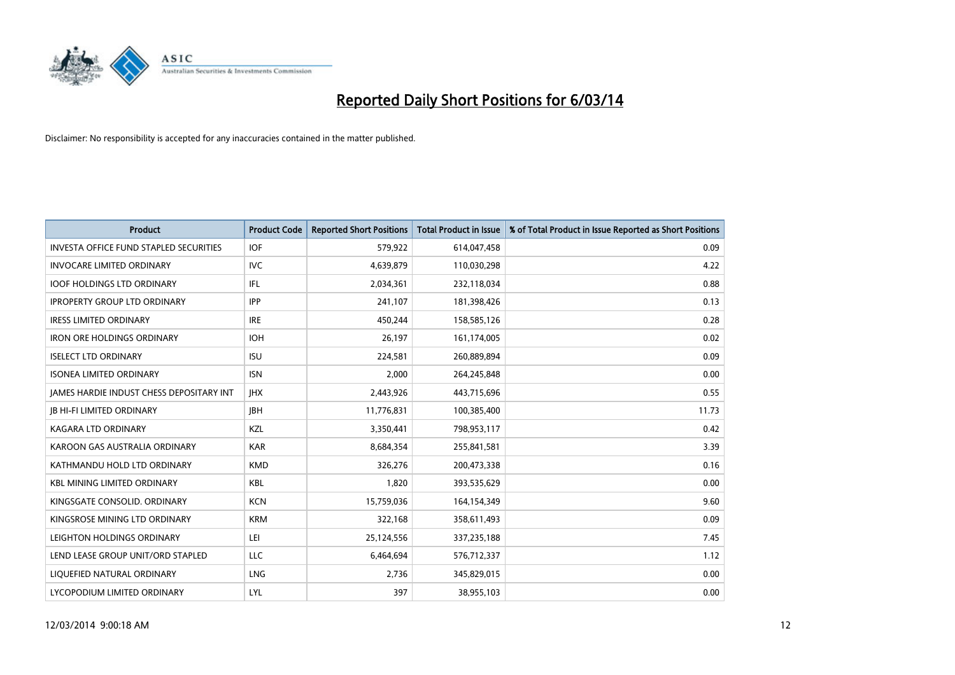

| <b>Product</b>                                  | <b>Product Code</b> | <b>Reported Short Positions</b> | <b>Total Product in Issue</b> | % of Total Product in Issue Reported as Short Positions |
|-------------------------------------------------|---------------------|---------------------------------|-------------------------------|---------------------------------------------------------|
| <b>INVESTA OFFICE FUND STAPLED SECURITIES</b>   | <b>IOF</b>          | 579,922                         | 614,047,458                   | 0.09                                                    |
| <b>INVOCARE LIMITED ORDINARY</b>                | IVC                 | 4,639,879                       | 110,030,298                   | 4.22                                                    |
| <b>IOOF HOLDINGS LTD ORDINARY</b>               | IFL                 | 2,034,361                       | 232,118,034                   | 0.88                                                    |
| <b>IPROPERTY GROUP LTD ORDINARY</b>             | <b>IPP</b>          | 241,107                         | 181,398,426                   | 0.13                                                    |
| <b>IRESS LIMITED ORDINARY</b>                   | <b>IRE</b>          | 450,244                         | 158,585,126                   | 0.28                                                    |
| <b>IRON ORE HOLDINGS ORDINARY</b>               | <b>IOH</b>          | 26,197                          | 161,174,005                   | 0.02                                                    |
| <b>ISELECT LTD ORDINARY</b>                     | <b>ISU</b>          | 224,581                         | 260,889,894                   | 0.09                                                    |
| <b>ISONEA LIMITED ORDINARY</b>                  | <b>ISN</b>          | 2,000                           | 264,245,848                   | 0.00                                                    |
| <b>JAMES HARDIE INDUST CHESS DEPOSITARY INT</b> | <b>IHX</b>          | 2,443,926                       | 443,715,696                   | 0.55                                                    |
| <b>IB HI-FI LIMITED ORDINARY</b>                | <b>IBH</b>          | 11,776,831                      | 100,385,400                   | 11.73                                                   |
| KAGARA LTD ORDINARY                             | <b>KZL</b>          | 3,350,441                       | 798,953,117                   | 0.42                                                    |
| KAROON GAS AUSTRALIA ORDINARY                   | <b>KAR</b>          | 8,684,354                       | 255,841,581                   | 3.39                                                    |
| KATHMANDU HOLD LTD ORDINARY                     | <b>KMD</b>          | 326,276                         | 200,473,338                   | 0.16                                                    |
| <b>KBL MINING LIMITED ORDINARY</b>              | <b>KBL</b>          | 1,820                           | 393,535,629                   | 0.00                                                    |
| KINGSGATE CONSOLID. ORDINARY                    | <b>KCN</b>          | 15,759,036                      | 164,154,349                   | 9.60                                                    |
| KINGSROSE MINING LTD ORDINARY                   | <b>KRM</b>          | 322,168                         | 358,611,493                   | 0.09                                                    |
| LEIGHTON HOLDINGS ORDINARY                      | LEI                 | 25,124,556                      | 337,235,188                   | 7.45                                                    |
| LEND LEASE GROUP UNIT/ORD STAPLED               | <b>LLC</b>          | 6,464,694                       | 576,712,337                   | 1.12                                                    |
| LIOUEFIED NATURAL ORDINARY                      | <b>LNG</b>          | 2,736                           | 345,829,015                   | 0.00                                                    |
| LYCOPODIUM LIMITED ORDINARY                     | LYL                 | 397                             | 38,955,103                    | 0.00                                                    |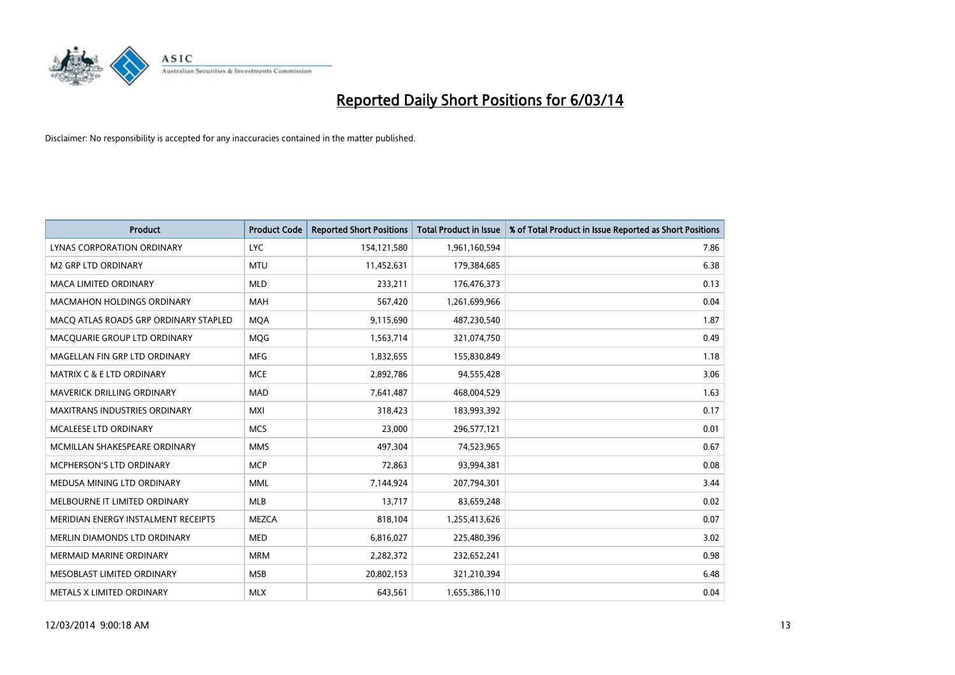

| <b>Product</b>                        | <b>Product Code</b> | <b>Reported Short Positions</b> | <b>Total Product in Issue</b> | % of Total Product in Issue Reported as Short Positions |
|---------------------------------------|---------------------|---------------------------------|-------------------------------|---------------------------------------------------------|
| <b>LYNAS CORPORATION ORDINARY</b>     | <b>LYC</b>          | 154,121,580                     | 1,961,160,594                 | 7.86                                                    |
| <b>M2 GRP LTD ORDINARY</b>            | <b>MTU</b>          | 11,452,631                      | 179,384,685                   | 6.38                                                    |
| <b>MACA LIMITED ORDINARY</b>          | <b>MLD</b>          | 233,211                         | 176,476,373                   | 0.13                                                    |
| MACMAHON HOLDINGS ORDINARY            | <b>MAH</b>          | 567,420                         | 1,261,699,966                 | 0.04                                                    |
| MACQ ATLAS ROADS GRP ORDINARY STAPLED | <b>MQA</b>          | 9,115,690                       | 487,230,540                   | 1.87                                                    |
| MACQUARIE GROUP LTD ORDINARY          | <b>MQG</b>          | 1,563,714                       | 321,074,750                   | 0.49                                                    |
| MAGELLAN FIN GRP LTD ORDINARY         | <b>MFG</b>          | 1,832,655                       | 155,830,849                   | 1.18                                                    |
| <b>MATRIX C &amp; E LTD ORDINARY</b>  | <b>MCE</b>          | 2,892,786                       | 94,555,428                    | 3.06                                                    |
| MAVERICK DRILLING ORDINARY            | <b>MAD</b>          | 7,641,487                       | 468,004,529                   | 1.63                                                    |
| <b>MAXITRANS INDUSTRIES ORDINARY</b>  | <b>MXI</b>          | 318,423                         | 183,993,392                   | 0.17                                                    |
| MCALEESE LTD ORDINARY                 | <b>MCS</b>          | 23,000                          | 296,577,121                   | 0.01                                                    |
| MCMILLAN SHAKESPEARE ORDINARY         | <b>MMS</b>          | 497,304                         | 74,523,965                    | 0.67                                                    |
| <b>MCPHERSON'S LTD ORDINARY</b>       | <b>MCP</b>          | 72,863                          | 93,994,381                    | 0.08                                                    |
| MEDUSA MINING LTD ORDINARY            | <b>MML</b>          | 7,144,924                       | 207,794,301                   | 3.44                                                    |
| MELBOURNE IT LIMITED ORDINARY         | MLB                 | 13,717                          | 83,659,248                    | 0.02                                                    |
| MERIDIAN ENERGY INSTALMENT RECEIPTS   | <b>MEZCA</b>        | 818,104                         | 1,255,413,626                 | 0.07                                                    |
| MERLIN DIAMONDS LTD ORDINARY          | <b>MED</b>          | 6,816,027                       | 225,480,396                   | 3.02                                                    |
| MERMAID MARINE ORDINARY               | <b>MRM</b>          | 2,282,372                       | 232,652,241                   | 0.98                                                    |
| MESOBLAST LIMITED ORDINARY            | <b>MSB</b>          | 20,802,153                      | 321,210,394                   | 6.48                                                    |
| METALS X LIMITED ORDINARY             | <b>MLX</b>          | 643.561                         | 1,655,386,110                 | 0.04                                                    |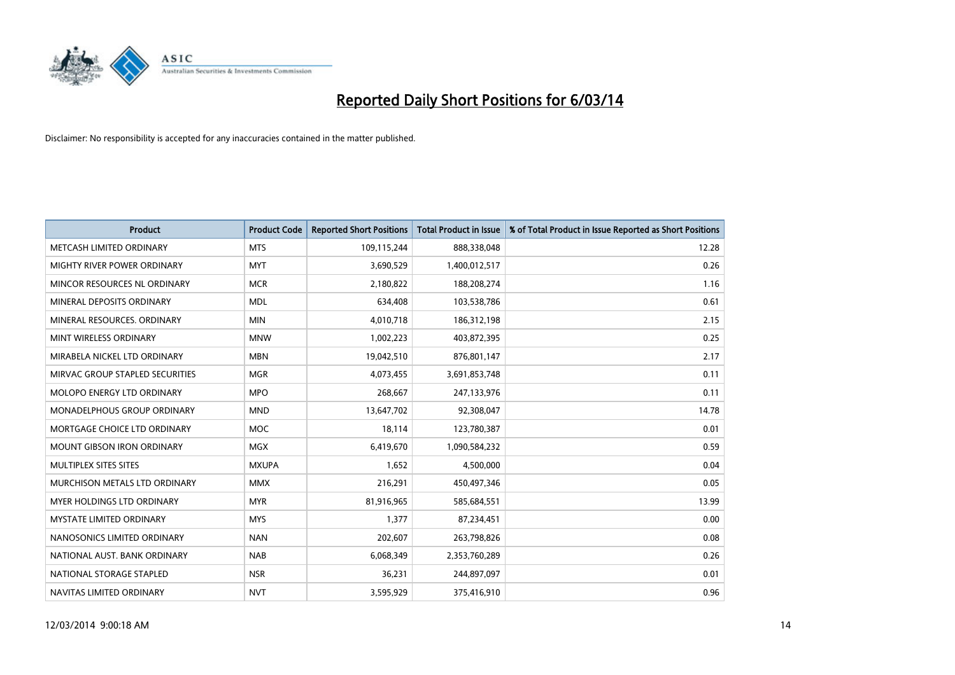

| <b>Product</b>                       | <b>Product Code</b> | <b>Reported Short Positions</b> | <b>Total Product in Issue</b> | % of Total Product in Issue Reported as Short Positions |
|--------------------------------------|---------------------|---------------------------------|-------------------------------|---------------------------------------------------------|
| METCASH LIMITED ORDINARY             | <b>MTS</b>          | 109,115,244                     | 888,338,048                   | 12.28                                                   |
| MIGHTY RIVER POWER ORDINARY          | <b>MYT</b>          | 3,690,529                       | 1,400,012,517                 | 0.26                                                    |
| MINCOR RESOURCES NL ORDINARY         | <b>MCR</b>          | 2,180,822                       | 188,208,274                   | 1.16                                                    |
| MINERAL DEPOSITS ORDINARY            | <b>MDL</b>          | 634,408                         | 103,538,786                   | 0.61                                                    |
| MINERAL RESOURCES, ORDINARY          | <b>MIN</b>          | 4,010,718                       | 186,312,198                   | 2.15                                                    |
| MINT WIRELESS ORDINARY               | <b>MNW</b>          | 1,002,223                       | 403,872,395                   | 0.25                                                    |
| MIRABELA NICKEL LTD ORDINARY         | <b>MBN</b>          | 19,042,510                      | 876,801,147                   | 2.17                                                    |
| MIRVAC GROUP STAPLED SECURITIES      | <b>MGR</b>          | 4,073,455                       | 3,691,853,748                 | 0.11                                                    |
| MOLOPO ENERGY LTD ORDINARY           | <b>MPO</b>          | 268,667                         | 247,133,976                   | 0.11                                                    |
| <b>MONADELPHOUS GROUP ORDINARY</b>   | <b>MND</b>          | 13,647,702                      | 92,308,047                    | 14.78                                                   |
| MORTGAGE CHOICE LTD ORDINARY         | <b>MOC</b>          | 18,114                          | 123,780,387                   | 0.01                                                    |
| <b>MOUNT GIBSON IRON ORDINARY</b>    | <b>MGX</b>          | 6,419,670                       | 1,090,584,232                 | 0.59                                                    |
| MULTIPLEX SITES SITES                | <b>MXUPA</b>        | 1,652                           | 4,500,000                     | 0.04                                                    |
| <b>MURCHISON METALS LTD ORDINARY</b> | <b>MMX</b>          | 216,291                         | 450,497,346                   | 0.05                                                    |
| <b>MYER HOLDINGS LTD ORDINARY</b>    | <b>MYR</b>          | 81,916,965                      | 585,684,551                   | 13.99                                                   |
| MYSTATE LIMITED ORDINARY             | <b>MYS</b>          | 1,377                           | 87,234,451                    | 0.00                                                    |
| NANOSONICS LIMITED ORDINARY          | <b>NAN</b>          | 202,607                         | 263,798,826                   | 0.08                                                    |
| NATIONAL AUST. BANK ORDINARY         | <b>NAB</b>          | 6,068,349                       | 2,353,760,289                 | 0.26                                                    |
| NATIONAL STORAGE STAPLED             | <b>NSR</b>          | 36,231                          | 244,897,097                   | 0.01                                                    |
| NAVITAS LIMITED ORDINARY             | <b>NVT</b>          | 3,595,929                       | 375,416,910                   | 0.96                                                    |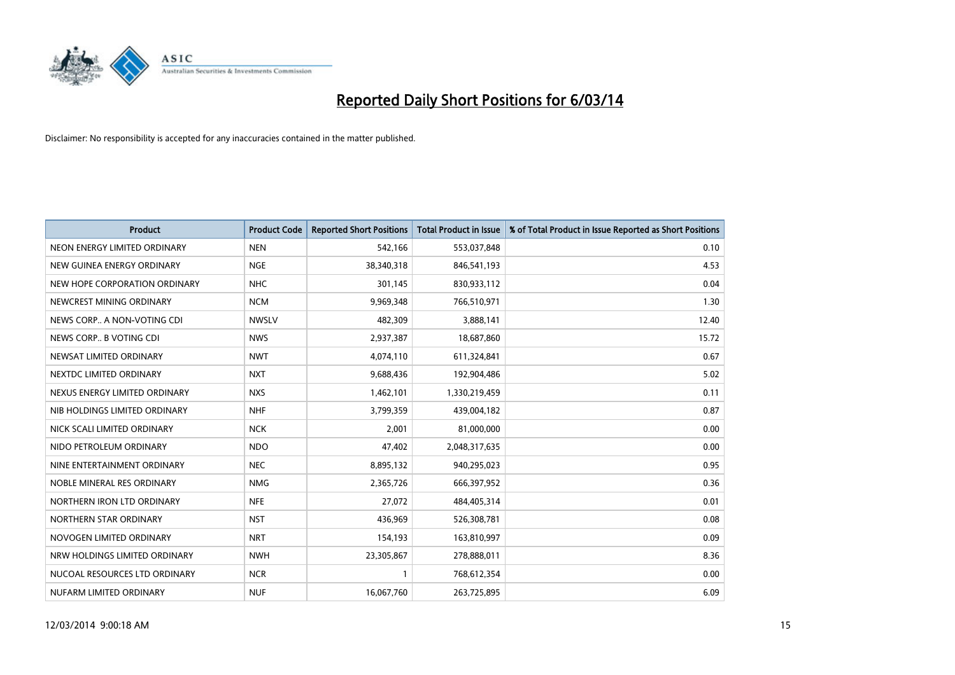

| <b>Product</b>                | <b>Product Code</b> | <b>Reported Short Positions</b> | <b>Total Product in Issue</b> | % of Total Product in Issue Reported as Short Positions |
|-------------------------------|---------------------|---------------------------------|-------------------------------|---------------------------------------------------------|
| NEON ENERGY LIMITED ORDINARY  | <b>NEN</b>          | 542,166                         | 553,037,848                   | 0.10                                                    |
| NEW GUINEA ENERGY ORDINARY    | <b>NGE</b>          | 38,340,318                      | 846,541,193                   | 4.53                                                    |
| NEW HOPE CORPORATION ORDINARY | <b>NHC</b>          | 301,145                         | 830,933,112                   | 0.04                                                    |
| NEWCREST MINING ORDINARY      | <b>NCM</b>          | 9,969,348                       | 766,510,971                   | 1.30                                                    |
| NEWS CORP A NON-VOTING CDI    | <b>NWSLV</b>        | 482,309                         | 3,888,141                     | 12.40                                                   |
| NEWS CORP B VOTING CDI        | <b>NWS</b>          | 2,937,387                       | 18,687,860                    | 15.72                                                   |
| NEWSAT LIMITED ORDINARY       | <b>NWT</b>          | 4,074,110                       | 611,324,841                   | 0.67                                                    |
| NEXTDC LIMITED ORDINARY       | <b>NXT</b>          | 9,688,436                       | 192,904,486                   | 5.02                                                    |
| NEXUS ENERGY LIMITED ORDINARY | <b>NXS</b>          | 1,462,101                       | 1,330,219,459                 | 0.11                                                    |
| NIB HOLDINGS LIMITED ORDINARY | <b>NHF</b>          | 3,799,359                       | 439,004,182                   | 0.87                                                    |
| NICK SCALI LIMITED ORDINARY   | <b>NCK</b>          | 2,001                           | 81,000,000                    | 0.00                                                    |
| NIDO PETROLEUM ORDINARY       | <b>NDO</b>          | 47,402                          | 2,048,317,635                 | 0.00                                                    |
| NINE ENTERTAINMENT ORDINARY   | <b>NEC</b>          | 8,895,132                       | 940,295,023                   | 0.95                                                    |
| NOBLE MINERAL RES ORDINARY    | <b>NMG</b>          | 2,365,726                       | 666,397,952                   | 0.36                                                    |
| NORTHERN IRON LTD ORDINARY    | <b>NFE</b>          | 27,072                          | 484,405,314                   | 0.01                                                    |
| NORTHERN STAR ORDINARY        | <b>NST</b>          | 436,969                         | 526,308,781                   | 0.08                                                    |
| NOVOGEN LIMITED ORDINARY      | <b>NRT</b>          | 154,193                         | 163,810,997                   | 0.09                                                    |
| NRW HOLDINGS LIMITED ORDINARY | <b>NWH</b>          | 23,305,867                      | 278,888,011                   | 8.36                                                    |
| NUCOAL RESOURCES LTD ORDINARY | <b>NCR</b>          | $\mathbf{1}$                    | 768,612,354                   | 0.00                                                    |
| NUFARM LIMITED ORDINARY       | <b>NUF</b>          | 16,067,760                      | 263,725,895                   | 6.09                                                    |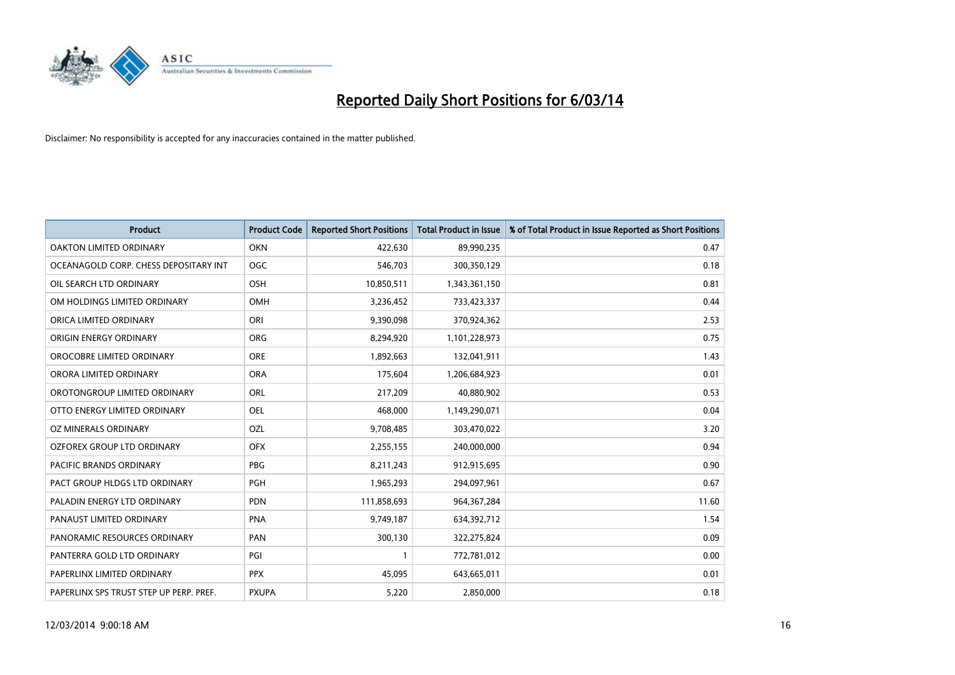

| <b>Product</b>                          | <b>Product Code</b> | <b>Reported Short Positions</b> | <b>Total Product in Issue</b> | % of Total Product in Issue Reported as Short Positions |
|-----------------------------------------|---------------------|---------------------------------|-------------------------------|---------------------------------------------------------|
| <b>OAKTON LIMITED ORDINARY</b>          | <b>OKN</b>          | 422,630                         | 89,990,235                    | 0.47                                                    |
| OCEANAGOLD CORP. CHESS DEPOSITARY INT   | <b>OGC</b>          | 546,703                         | 300,350,129                   | 0.18                                                    |
| OIL SEARCH LTD ORDINARY                 | <b>OSH</b>          | 10,850,511                      | 1,343,361,150                 | 0.81                                                    |
| OM HOLDINGS LIMITED ORDINARY            | <b>OMH</b>          | 3,236,452                       | 733,423,337                   | 0.44                                                    |
| ORICA LIMITED ORDINARY                  | ORI                 | 9,390,098                       | 370,924,362                   | 2.53                                                    |
| ORIGIN ENERGY ORDINARY                  | <b>ORG</b>          | 8,294,920                       | 1,101,228,973                 | 0.75                                                    |
| OROCOBRE LIMITED ORDINARY               | <b>ORE</b>          | 1,892,663                       | 132,041,911                   | 1.43                                                    |
| ORORA LIMITED ORDINARY                  | <b>ORA</b>          | 175,604                         | 1,206,684,923                 | 0.01                                                    |
| OROTONGROUP LIMITED ORDINARY            | <b>ORL</b>          | 217,209                         | 40,880,902                    | 0.53                                                    |
| OTTO ENERGY LIMITED ORDINARY            | <b>OEL</b>          | 468,000                         | 1,149,290,071                 | 0.04                                                    |
| OZ MINERALS ORDINARY                    | OZL                 | 9,708,485                       | 303,470,022                   | 3.20                                                    |
| <b>OZFOREX GROUP LTD ORDINARY</b>       | <b>OFX</b>          | 2,255,155                       | 240,000,000                   | 0.94                                                    |
| PACIFIC BRANDS ORDINARY                 | <b>PBG</b>          | 8,211,243                       | 912,915,695                   | 0.90                                                    |
| PACT GROUP HLDGS LTD ORDINARY           | <b>PGH</b>          | 1,965,293                       | 294,097,961                   | 0.67                                                    |
| PALADIN ENERGY LTD ORDINARY             | <b>PDN</b>          | 111,858,693                     | 964,367,284                   | 11.60                                                   |
| PANAUST LIMITED ORDINARY                | <b>PNA</b>          | 9,749,187                       | 634,392,712                   | 1.54                                                    |
| PANORAMIC RESOURCES ORDINARY            | PAN                 | 300,130                         | 322,275,824                   | 0.09                                                    |
| PANTERRA GOLD LTD ORDINARY              | PGI                 |                                 | 772,781,012                   | 0.00                                                    |
| PAPERLINX LIMITED ORDINARY              | <b>PPX</b>          | 45,095                          | 643,665,011                   | 0.01                                                    |
| PAPERLINX SPS TRUST STEP UP PERP. PREF. | <b>PXUPA</b>        | 5,220                           | 2,850,000                     | 0.18                                                    |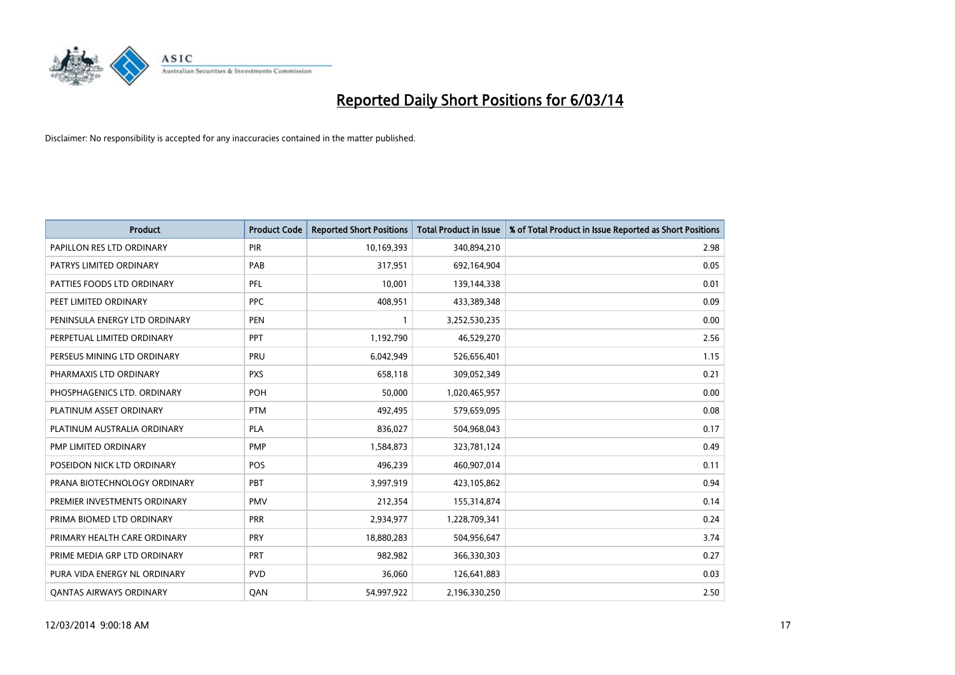

| <b>Product</b>                 | <b>Product Code</b> | <b>Reported Short Positions</b> | <b>Total Product in Issue</b> | % of Total Product in Issue Reported as Short Positions |
|--------------------------------|---------------------|---------------------------------|-------------------------------|---------------------------------------------------------|
| PAPILLON RES LTD ORDINARY      | PIR                 | 10,169,393                      | 340,894,210                   | 2.98                                                    |
| PATRYS LIMITED ORDINARY        | PAB                 | 317,951                         | 692,164,904                   | 0.05                                                    |
| PATTIES FOODS LTD ORDINARY     | <b>PFL</b>          | 10,001                          | 139,144,338                   | 0.01                                                    |
| PEET LIMITED ORDINARY          | <b>PPC</b>          | 408,951                         | 433,389,348                   | 0.09                                                    |
| PENINSULA ENERGY LTD ORDINARY  | <b>PEN</b>          |                                 | 3,252,530,235                 | 0.00                                                    |
| PERPETUAL LIMITED ORDINARY     | PPT                 | 1,192,790                       | 46,529,270                    | 2.56                                                    |
| PERSEUS MINING LTD ORDINARY    | PRU                 | 6,042,949                       | 526,656,401                   | 1.15                                                    |
| PHARMAXIS LTD ORDINARY         | <b>PXS</b>          | 658,118                         | 309,052,349                   | 0.21                                                    |
| PHOSPHAGENICS LTD. ORDINARY    | POH                 | 50,000                          | 1,020,465,957                 | 0.00                                                    |
| PLATINUM ASSET ORDINARY        | <b>PTM</b>          | 492,495                         | 579,659,095                   | 0.08                                                    |
| PLATINUM AUSTRALIA ORDINARY    | <b>PLA</b>          | 836,027                         | 504,968,043                   | 0.17                                                    |
| PMP LIMITED ORDINARY           | <b>PMP</b>          | 1,584,873                       | 323,781,124                   | 0.49                                                    |
| POSEIDON NICK LTD ORDINARY     | POS                 | 496,239                         | 460,907,014                   | 0.11                                                    |
| PRANA BIOTECHNOLOGY ORDINARY   | PBT                 | 3,997,919                       | 423,105,862                   | 0.94                                                    |
| PREMIER INVESTMENTS ORDINARY   | <b>PMV</b>          | 212,354                         | 155,314,874                   | 0.14                                                    |
| PRIMA BIOMED LTD ORDINARY      | <b>PRR</b>          | 2,934,977                       | 1,228,709,341                 | 0.24                                                    |
| PRIMARY HEALTH CARE ORDINARY   | <b>PRY</b>          | 18,880,283                      | 504,956,647                   | 3.74                                                    |
| PRIME MEDIA GRP LTD ORDINARY   | PRT                 | 982,982                         | 366,330,303                   | 0.27                                                    |
| PURA VIDA ENERGY NL ORDINARY   | <b>PVD</b>          | 36,060                          | 126,641,883                   | 0.03                                                    |
| <b>QANTAS AIRWAYS ORDINARY</b> | QAN                 | 54,997,922                      | 2,196,330,250                 | 2.50                                                    |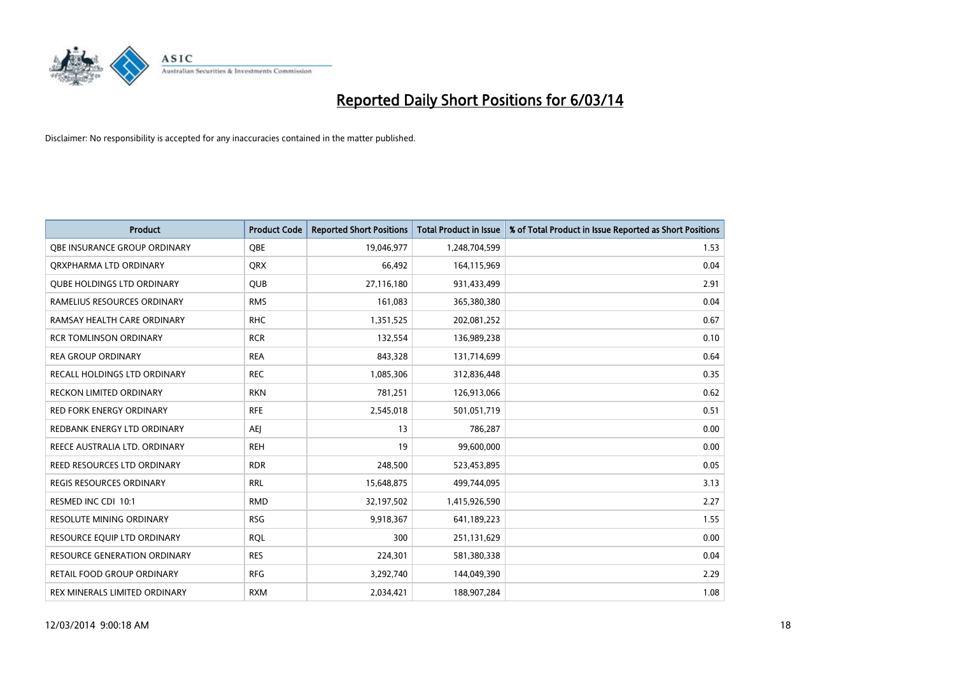

| <b>Product</b>                    | <b>Product Code</b> | <b>Reported Short Positions</b> | <b>Total Product in Issue</b> | % of Total Product in Issue Reported as Short Positions |
|-----------------------------------|---------------------|---------------------------------|-------------------------------|---------------------------------------------------------|
| OBE INSURANCE GROUP ORDINARY      | <b>OBE</b>          | 19,046,977                      | 1,248,704,599                 | 1.53                                                    |
| ORXPHARMA LTD ORDINARY            | <b>QRX</b>          | 66,492                          | 164,115,969                   | 0.04                                                    |
| <b>QUBE HOLDINGS LTD ORDINARY</b> | <b>QUB</b>          | 27,116,180                      | 931,433,499                   | 2.91                                                    |
| RAMELIUS RESOURCES ORDINARY       | <b>RMS</b>          | 161,083                         | 365,380,380                   | 0.04                                                    |
| RAMSAY HEALTH CARE ORDINARY       | <b>RHC</b>          | 1,351,525                       | 202,081,252                   | 0.67                                                    |
| <b>RCR TOMLINSON ORDINARY</b>     | <b>RCR</b>          | 132,554                         | 136,989,238                   | 0.10                                                    |
| <b>REA GROUP ORDINARY</b>         | <b>REA</b>          | 843,328                         | 131,714,699                   | 0.64                                                    |
| RECALL HOLDINGS LTD ORDINARY      | <b>REC</b>          | 1,085,306                       | 312,836,448                   | 0.35                                                    |
| RECKON LIMITED ORDINARY           | <b>RKN</b>          | 781,251                         | 126,913,066                   | 0.62                                                    |
| <b>RED FORK ENERGY ORDINARY</b>   | <b>RFE</b>          | 2,545,018                       | 501,051,719                   | 0.51                                                    |
| REDBANK ENERGY LTD ORDINARY       | AEJ                 | 13                              | 786,287                       | 0.00                                                    |
| REECE AUSTRALIA LTD. ORDINARY     | <b>REH</b>          | 19                              | 99,600,000                    | 0.00                                                    |
| REED RESOURCES LTD ORDINARY       | <b>RDR</b>          | 248,500                         | 523,453,895                   | 0.05                                                    |
| <b>REGIS RESOURCES ORDINARY</b>   | <b>RRL</b>          | 15,648,875                      | 499,744,095                   | 3.13                                                    |
| RESMED INC CDI 10:1               | <b>RMD</b>          | 32,197,502                      | 1,415,926,590                 | 2.27                                                    |
| <b>RESOLUTE MINING ORDINARY</b>   | <b>RSG</b>          | 9,918,367                       | 641,189,223                   | 1.55                                                    |
| RESOURCE EQUIP LTD ORDINARY       | <b>RQL</b>          | 300                             | 251,131,629                   | 0.00                                                    |
| RESOURCE GENERATION ORDINARY      | <b>RES</b>          | 224,301                         | 581,380,338                   | 0.04                                                    |
| RETAIL FOOD GROUP ORDINARY        | <b>RFG</b>          | 3,292,740                       | 144,049,390                   | 2.29                                                    |
| REX MINERALS LIMITED ORDINARY     | <b>RXM</b>          | 2,034,421                       | 188,907,284                   | 1.08                                                    |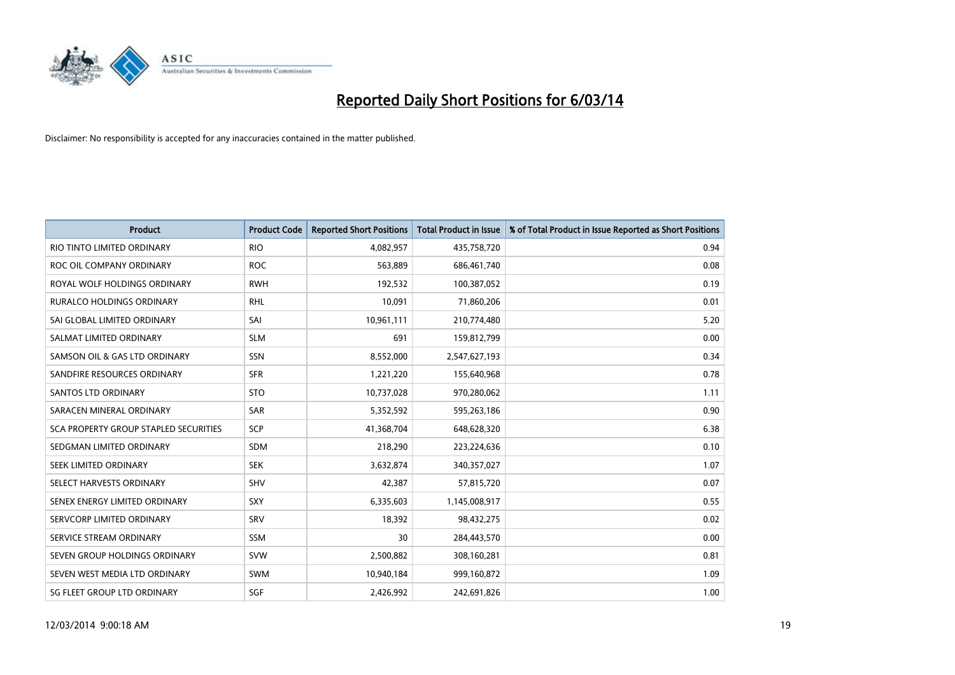

| <b>Product</b>                        | <b>Product Code</b> | <b>Reported Short Positions</b> | <b>Total Product in Issue</b> | % of Total Product in Issue Reported as Short Positions |
|---------------------------------------|---------------------|---------------------------------|-------------------------------|---------------------------------------------------------|
| RIO TINTO LIMITED ORDINARY            | <b>RIO</b>          | 4,082,957                       | 435,758,720                   | 0.94                                                    |
| ROC OIL COMPANY ORDINARY              | <b>ROC</b>          | 563,889                         | 686,461,740                   | 0.08                                                    |
| ROYAL WOLF HOLDINGS ORDINARY          | <b>RWH</b>          | 192,532                         | 100,387,052                   | 0.19                                                    |
| RURALCO HOLDINGS ORDINARY             | <b>RHL</b>          | 10,091                          | 71,860,206                    | 0.01                                                    |
| SAI GLOBAL LIMITED ORDINARY           | SAI                 | 10,961,111                      | 210,774,480                   | 5.20                                                    |
| SALMAT LIMITED ORDINARY               | <b>SLM</b>          | 691                             | 159,812,799                   | 0.00                                                    |
| SAMSON OIL & GAS LTD ORDINARY         | <b>SSN</b>          | 8,552,000                       | 2,547,627,193                 | 0.34                                                    |
| SANDFIRE RESOURCES ORDINARY           | <b>SFR</b>          | 1,221,220                       | 155,640,968                   | 0.78                                                    |
| SANTOS LTD ORDINARY                   | <b>STO</b>          | 10,737,028                      | 970,280,062                   | 1.11                                                    |
| SARACEN MINERAL ORDINARY              | <b>SAR</b>          | 5,352,592                       | 595,263,186                   | 0.90                                                    |
| SCA PROPERTY GROUP STAPLED SECURITIES | SCP                 | 41,368,704                      | 648,628,320                   | 6.38                                                    |
| SEDGMAN LIMITED ORDINARY              | <b>SDM</b>          | 218,290                         | 223,224,636                   | 0.10                                                    |
| SEEK LIMITED ORDINARY                 | <b>SEK</b>          | 3,632,874                       | 340,357,027                   | 1.07                                                    |
| SELECT HARVESTS ORDINARY              | SHV                 | 42,387                          | 57,815,720                    | 0.07                                                    |
| SENEX ENERGY LIMITED ORDINARY         | SXY                 | 6,335,603                       | 1,145,008,917                 | 0.55                                                    |
| SERVCORP LIMITED ORDINARY             | SRV                 | 18,392                          | 98,432,275                    | 0.02                                                    |
| SERVICE STREAM ORDINARY               | <b>SSM</b>          | 30                              | 284,443,570                   | 0.00                                                    |
| SEVEN GROUP HOLDINGS ORDINARY         | <b>SVW</b>          | 2,500,882                       | 308,160,281                   | 0.81                                                    |
| SEVEN WEST MEDIA LTD ORDINARY         | <b>SWM</b>          | 10,940,184                      | 999,160,872                   | 1.09                                                    |
| SG FLEET GROUP LTD ORDINARY           | SGF                 | 2,426,992                       | 242,691,826                   | 1.00                                                    |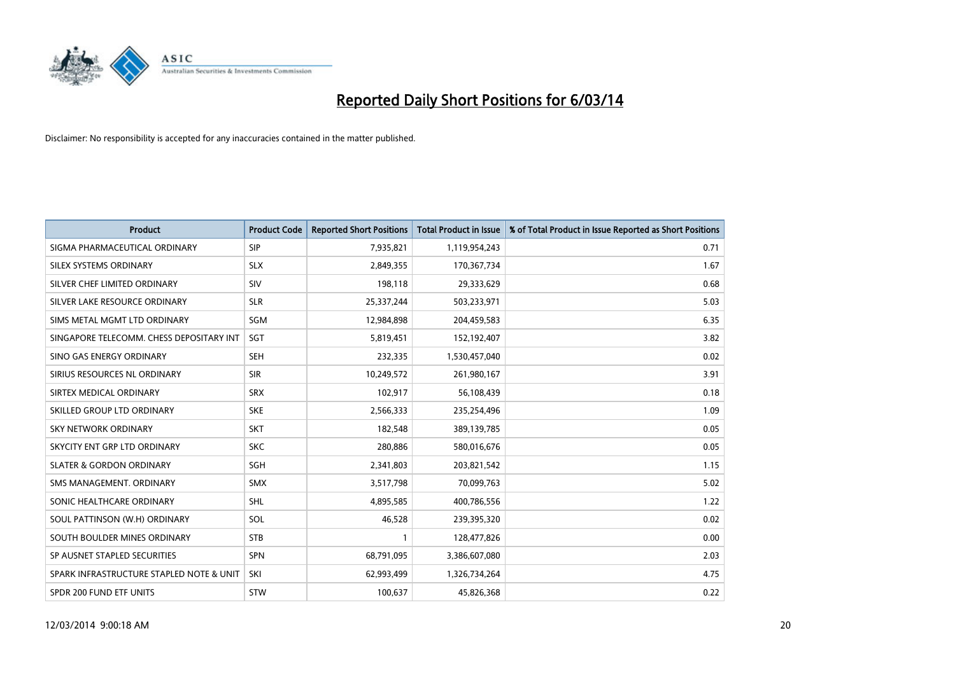

| <b>Product</b>                           | <b>Product Code</b> | <b>Reported Short Positions</b> | <b>Total Product in Issue</b> | % of Total Product in Issue Reported as Short Positions |
|------------------------------------------|---------------------|---------------------------------|-------------------------------|---------------------------------------------------------|
| SIGMA PHARMACEUTICAL ORDINARY            | <b>SIP</b>          | 7,935,821                       | 1,119,954,243                 | 0.71                                                    |
| SILEX SYSTEMS ORDINARY                   | <b>SLX</b>          | 2,849,355                       | 170,367,734                   | 1.67                                                    |
| SILVER CHEF LIMITED ORDINARY             | SIV                 | 198,118                         | 29,333,629                    | 0.68                                                    |
| SILVER LAKE RESOURCE ORDINARY            | <b>SLR</b>          | 25,337,244                      | 503,233,971                   | 5.03                                                    |
| SIMS METAL MGMT LTD ORDINARY             | SGM                 | 12,984,898                      | 204,459,583                   | 6.35                                                    |
| SINGAPORE TELECOMM. CHESS DEPOSITARY INT | SGT                 | 5,819,451                       | 152,192,407                   | 3.82                                                    |
| SINO GAS ENERGY ORDINARY                 | <b>SEH</b>          | 232,335                         | 1,530,457,040                 | 0.02                                                    |
| SIRIUS RESOURCES NL ORDINARY             | <b>SIR</b>          | 10,249,572                      | 261,980,167                   | 3.91                                                    |
| SIRTEX MEDICAL ORDINARY                  | <b>SRX</b>          | 102,917                         | 56,108,439                    | 0.18                                                    |
| SKILLED GROUP LTD ORDINARY               | <b>SKE</b>          | 2,566,333                       | 235,254,496                   | 1.09                                                    |
| SKY NETWORK ORDINARY                     | <b>SKT</b>          | 182,548                         | 389,139,785                   | 0.05                                                    |
| SKYCITY ENT GRP LTD ORDINARY             | <b>SKC</b>          | 280,886                         | 580,016,676                   | 0.05                                                    |
| <b>SLATER &amp; GORDON ORDINARY</b>      | SGH                 | 2,341,803                       | 203,821,542                   | 1.15                                                    |
| SMS MANAGEMENT, ORDINARY                 | <b>SMX</b>          | 3,517,798                       | 70,099,763                    | 5.02                                                    |
| SONIC HEALTHCARE ORDINARY                | <b>SHL</b>          | 4,895,585                       | 400,786,556                   | 1.22                                                    |
| SOUL PATTINSON (W.H) ORDINARY            | SOL                 | 46,528                          | 239,395,320                   | 0.02                                                    |
| SOUTH BOULDER MINES ORDINARY             | <b>STB</b>          |                                 | 128,477,826                   | 0.00                                                    |
| SP AUSNET STAPLED SECURITIES             | <b>SPN</b>          | 68,791,095                      | 3,386,607,080                 | 2.03                                                    |
| SPARK INFRASTRUCTURE STAPLED NOTE & UNIT | SKI                 | 62,993,499                      | 1,326,734,264                 | 4.75                                                    |
| SPDR 200 FUND ETF UNITS                  | <b>STW</b>          | 100,637                         | 45,826,368                    | 0.22                                                    |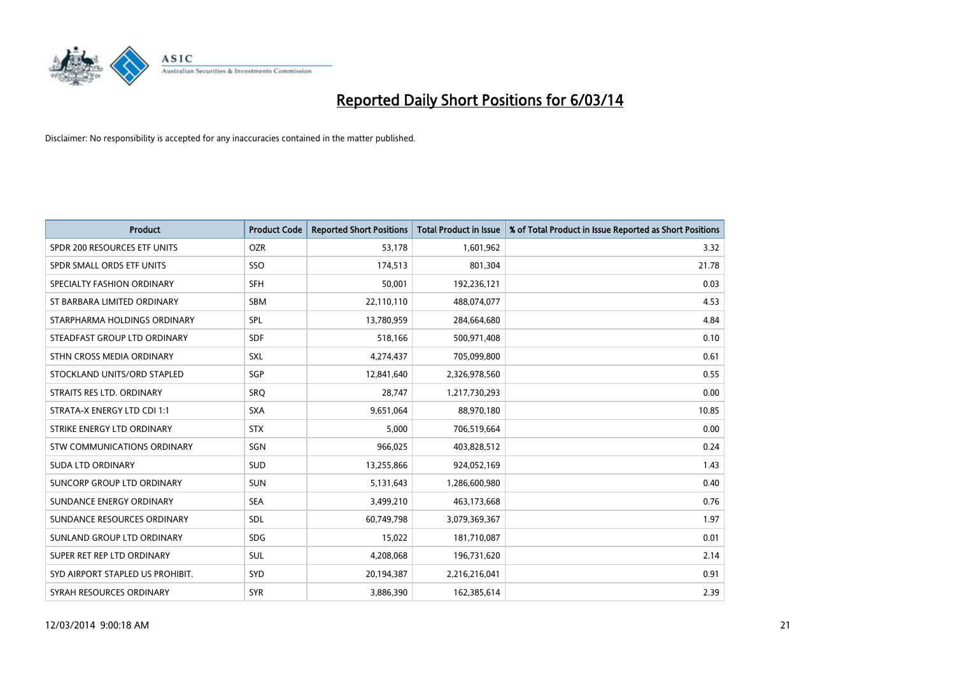

| <b>Product</b>                   | <b>Product Code</b> | <b>Reported Short Positions</b> | <b>Total Product in Issue</b> | % of Total Product in Issue Reported as Short Positions |
|----------------------------------|---------------------|---------------------------------|-------------------------------|---------------------------------------------------------|
| SPDR 200 RESOURCES ETF UNITS     | <b>OZR</b>          | 53,178                          | 1,601,962                     | 3.32                                                    |
| SPDR SMALL ORDS ETF UNITS        | SSO                 | 174,513                         | 801,304                       | 21.78                                                   |
| SPECIALTY FASHION ORDINARY       | <b>SFH</b>          | 50,001                          | 192,236,121                   | 0.03                                                    |
| ST BARBARA LIMITED ORDINARY      | <b>SBM</b>          | 22,110,110                      | 488,074,077                   | 4.53                                                    |
| STARPHARMA HOLDINGS ORDINARY     | SPL                 | 13,780,959                      | 284,664,680                   | 4.84                                                    |
| STEADFAST GROUP LTD ORDINARY     | <b>SDF</b>          | 518,166                         | 500,971,408                   | 0.10                                                    |
| STHN CROSS MEDIA ORDINARY        | <b>SXL</b>          | 4,274,437                       | 705,099,800                   | 0.61                                                    |
| STOCKLAND UNITS/ORD STAPLED      | SGP                 | 12,841,640                      | 2,326,978,560                 | 0.55                                                    |
| STRAITS RES LTD. ORDINARY        | SRO                 | 28,747                          | 1,217,730,293                 | 0.00                                                    |
| STRATA-X ENERGY LTD CDI 1:1      | <b>SXA</b>          | 9,651,064                       | 88,970,180                    | 10.85                                                   |
| STRIKE ENERGY LTD ORDINARY       | <b>STX</b>          | 5,000                           | 706,519,664                   | 0.00                                                    |
| STW COMMUNICATIONS ORDINARY      | SGN                 | 966,025                         | 403,828,512                   | 0.24                                                    |
| <b>SUDA LTD ORDINARY</b>         | <b>SUD</b>          | 13,255,866                      | 924,052,169                   | 1.43                                                    |
| SUNCORP GROUP LTD ORDINARY       | <b>SUN</b>          | 5,131,643                       | 1,286,600,980                 | 0.40                                                    |
| SUNDANCE ENERGY ORDINARY         | <b>SEA</b>          | 3,499,210                       | 463,173,668                   | 0.76                                                    |
| SUNDANCE RESOURCES ORDINARY      | <b>SDL</b>          | 60,749,798                      | 3,079,369,367                 | 1.97                                                    |
| SUNLAND GROUP LTD ORDINARY       | <b>SDG</b>          | 15,022                          | 181,710,087                   | 0.01                                                    |
| SUPER RET REP LTD ORDINARY       | <b>SUL</b>          | 4,208,068                       | 196,731,620                   | 2.14                                                    |
| SYD AIRPORT STAPLED US PROHIBIT. | SYD                 | 20,194,387                      | 2,216,216,041                 | 0.91                                                    |
| SYRAH RESOURCES ORDINARY         | <b>SYR</b>          | 3,886,390                       | 162,385,614                   | 2.39                                                    |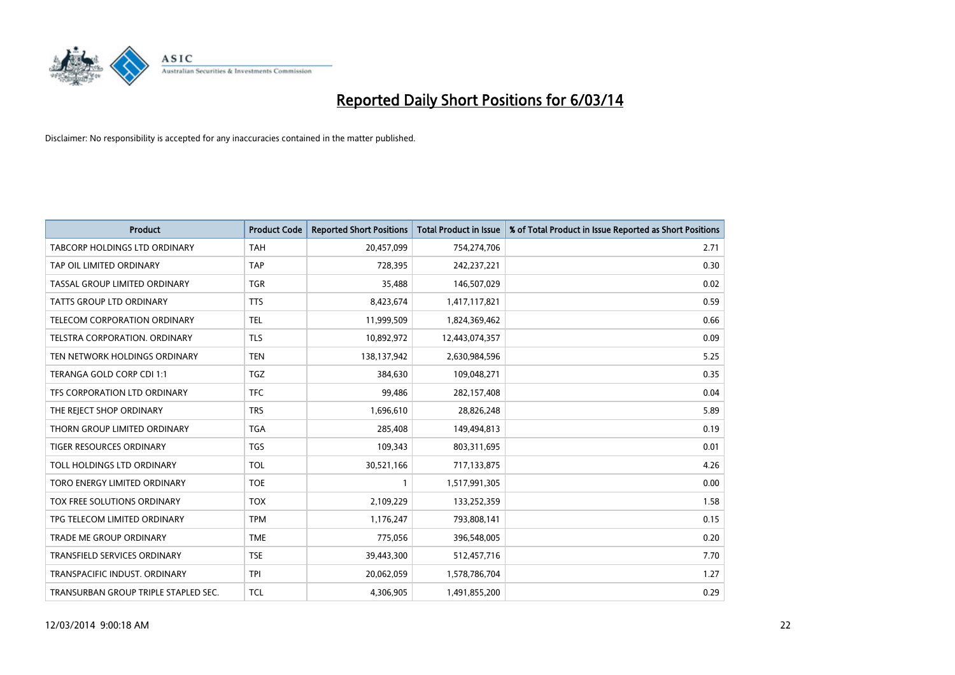

| <b>Product</b>                       | <b>Product Code</b> | <b>Reported Short Positions</b> | <b>Total Product in Issue</b> | % of Total Product in Issue Reported as Short Positions |
|--------------------------------------|---------------------|---------------------------------|-------------------------------|---------------------------------------------------------|
| <b>TABCORP HOLDINGS LTD ORDINARY</b> | <b>TAH</b>          | 20,457,099                      | 754,274,706                   | 2.71                                                    |
| TAP OIL LIMITED ORDINARY             | <b>TAP</b>          | 728,395                         | 242,237,221                   | 0.30                                                    |
| TASSAL GROUP LIMITED ORDINARY        | <b>TGR</b>          | 35,488                          | 146,507,029                   | 0.02                                                    |
| TATTS GROUP LTD ORDINARY             | <b>TTS</b>          | 8,423,674                       | 1,417,117,821                 | 0.59                                                    |
| <b>TELECOM CORPORATION ORDINARY</b>  | <b>TEL</b>          | 11,999,509                      | 1,824,369,462                 | 0.66                                                    |
| TELSTRA CORPORATION, ORDINARY        | <b>TLS</b>          | 10,892,972                      | 12,443,074,357                | 0.09                                                    |
| TEN NETWORK HOLDINGS ORDINARY        | <b>TEN</b>          | 138,137,942                     | 2,630,984,596                 | 5.25                                                    |
| TERANGA GOLD CORP CDI 1:1            | <b>TGZ</b>          | 384,630                         | 109,048,271                   | 0.35                                                    |
| TFS CORPORATION LTD ORDINARY         | <b>TFC</b>          | 99,486                          | 282,157,408                   | 0.04                                                    |
| THE REJECT SHOP ORDINARY             | <b>TRS</b>          | 1,696,610                       | 28,826,248                    | 5.89                                                    |
| THORN GROUP LIMITED ORDINARY         | <b>TGA</b>          | 285,408                         | 149,494,813                   | 0.19                                                    |
| <b>TIGER RESOURCES ORDINARY</b>      | <b>TGS</b>          | 109,343                         | 803,311,695                   | 0.01                                                    |
| TOLL HOLDINGS LTD ORDINARY           | <b>TOL</b>          | 30,521,166                      | 717,133,875                   | 4.26                                                    |
| TORO ENERGY LIMITED ORDINARY         | <b>TOE</b>          |                                 | 1,517,991,305                 | 0.00                                                    |
| TOX FREE SOLUTIONS ORDINARY          | <b>TOX</b>          | 2,109,229                       | 133,252,359                   | 1.58                                                    |
| TPG TELECOM LIMITED ORDINARY         | <b>TPM</b>          | 1,176,247                       | 793,808,141                   | 0.15                                                    |
| <b>TRADE ME GROUP ORDINARY</b>       | <b>TME</b>          | 775,056                         | 396,548,005                   | 0.20                                                    |
| TRANSFIELD SERVICES ORDINARY         | <b>TSE</b>          | 39,443,300                      | 512,457,716                   | 7.70                                                    |
| TRANSPACIFIC INDUST, ORDINARY        | <b>TPI</b>          | 20,062,059                      | 1,578,786,704                 | 1.27                                                    |
| TRANSURBAN GROUP TRIPLE STAPLED SEC. | <b>TCL</b>          | 4,306,905                       | 1,491,855,200                 | 0.29                                                    |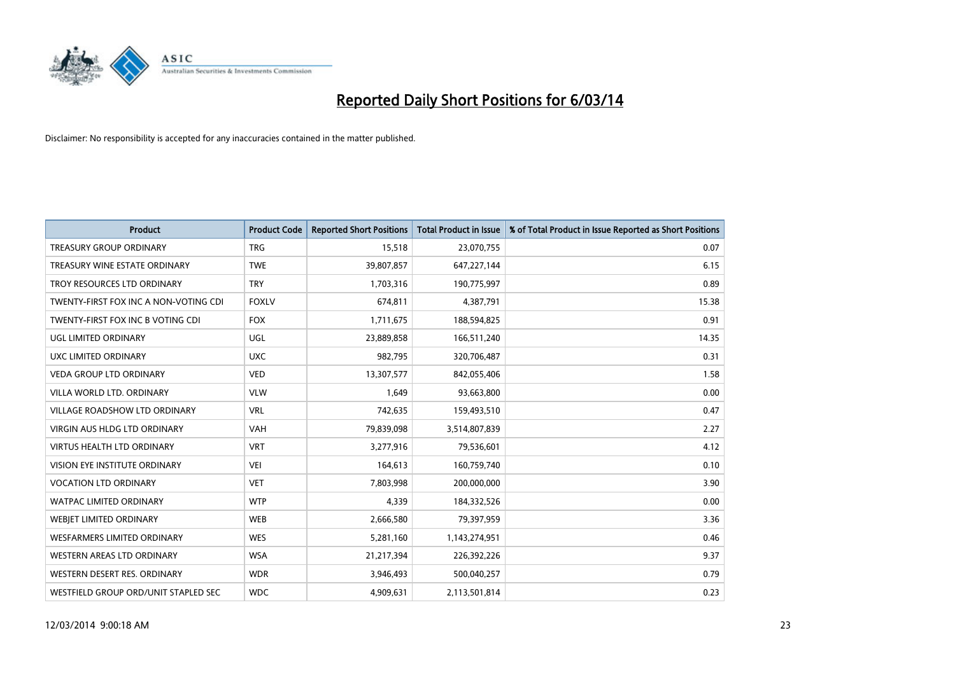

| <b>Product</b>                        | <b>Product Code</b> | <b>Reported Short Positions</b> | <b>Total Product in Issue</b> | % of Total Product in Issue Reported as Short Positions |
|---------------------------------------|---------------------|---------------------------------|-------------------------------|---------------------------------------------------------|
| <b>TREASURY GROUP ORDINARY</b>        | <b>TRG</b>          | 15,518                          | 23,070,755                    | 0.07                                                    |
| TREASURY WINE ESTATE ORDINARY         | <b>TWE</b>          | 39,807,857                      | 647,227,144                   | 6.15                                                    |
| TROY RESOURCES LTD ORDINARY           | <b>TRY</b>          | 1,703,316                       | 190,775,997                   | 0.89                                                    |
| TWENTY-FIRST FOX INC A NON-VOTING CDI | <b>FOXLV</b>        | 674,811                         | 4,387,791                     | 15.38                                                   |
| TWENTY-FIRST FOX INC B VOTING CDI     | <b>FOX</b>          | 1,711,675                       | 188,594,825                   | 0.91                                                    |
| UGL LIMITED ORDINARY                  | <b>UGL</b>          | 23,889,858                      | 166,511,240                   | 14.35                                                   |
| UXC LIMITED ORDINARY                  | <b>UXC</b>          | 982,795                         | 320,706,487                   | 0.31                                                    |
| <b>VEDA GROUP LTD ORDINARY</b>        | <b>VED</b>          | 13,307,577                      | 842,055,406                   | 1.58                                                    |
| VILLA WORLD LTD, ORDINARY             | <b>VLW</b>          | 1,649                           | 93,663,800                    | 0.00                                                    |
| <b>VILLAGE ROADSHOW LTD ORDINARY</b>  | <b>VRL</b>          | 742,635                         | 159,493,510                   | 0.47                                                    |
| <b>VIRGIN AUS HLDG LTD ORDINARY</b>   | <b>VAH</b>          | 79,839,098                      | 3,514,807,839                 | 2.27                                                    |
| VIRTUS HEALTH LTD ORDINARY            | <b>VRT</b>          | 3,277,916                       | 79,536,601                    | 4.12                                                    |
| VISION EYE INSTITUTE ORDINARY         | VEI                 | 164,613                         | 160,759,740                   | 0.10                                                    |
| <b>VOCATION LTD ORDINARY</b>          | <b>VET</b>          | 7,803,998                       | 200,000,000                   | 3.90                                                    |
| <b>WATPAC LIMITED ORDINARY</b>        | <b>WTP</b>          | 4,339                           | 184,332,526                   | 0.00                                                    |
| WEBJET LIMITED ORDINARY               | <b>WEB</b>          | 2,666,580                       | 79,397,959                    | 3.36                                                    |
| <b>WESFARMERS LIMITED ORDINARY</b>    | <b>WES</b>          | 5,281,160                       | 1,143,274,951                 | 0.46                                                    |
| WESTERN AREAS LTD ORDINARY            | <b>WSA</b>          | 21,217,394                      | 226,392,226                   | 9.37                                                    |
| WESTERN DESERT RES. ORDINARY          | <b>WDR</b>          | 3,946,493                       | 500,040,257                   | 0.79                                                    |
| WESTFIELD GROUP ORD/UNIT STAPLED SEC  | <b>WDC</b>          | 4,909,631                       | 2,113,501,814                 | 0.23                                                    |